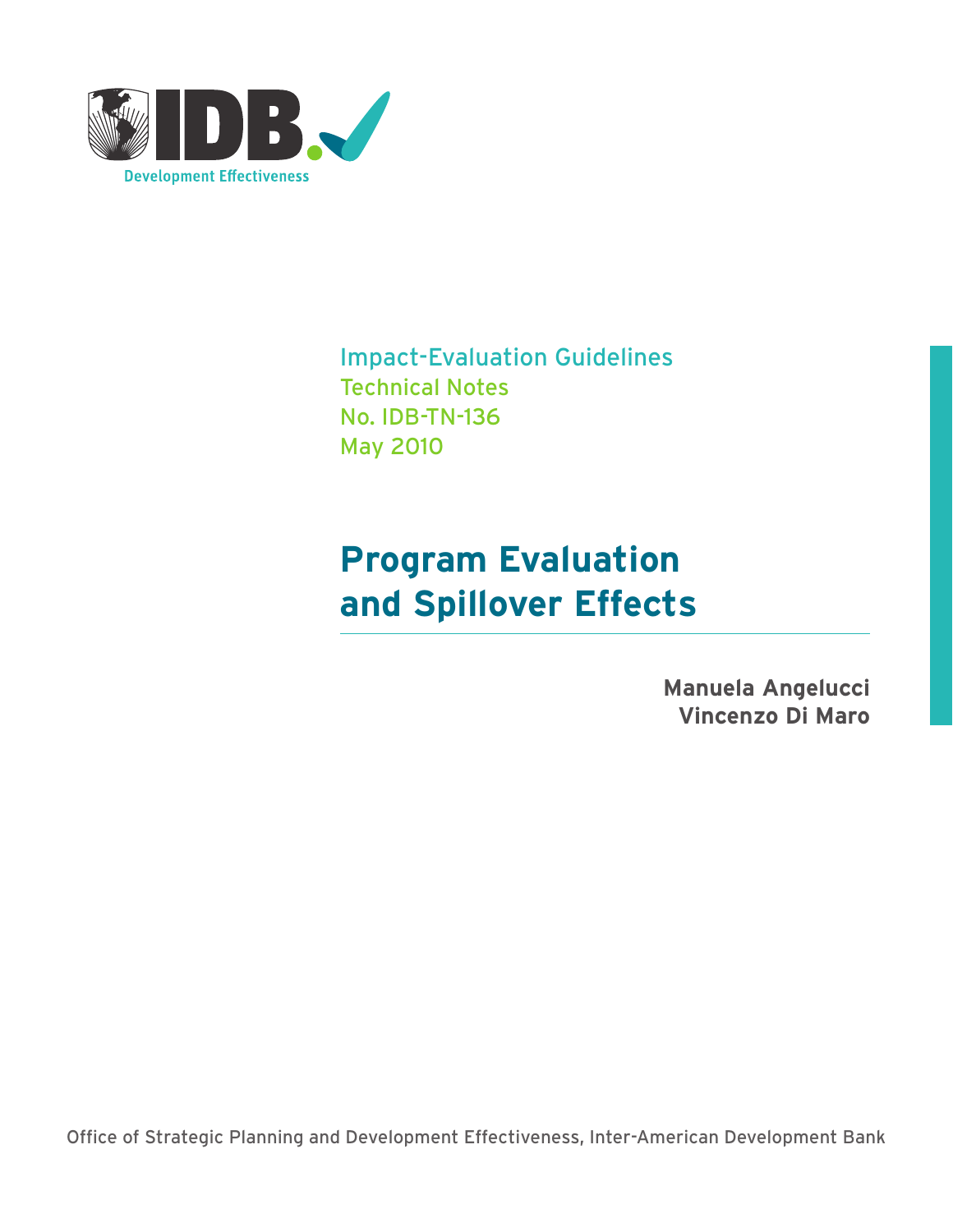

Impact-Evaluation Guidelines Technical Notes No. IDB-TN-136 May 2010

# **Program Evaluation and Spillover Effects**

**Manuela Angelucci Vincenzo Di Maro**

Office of Strategic Planning and Development Effectiveness, Inter-American Development Bank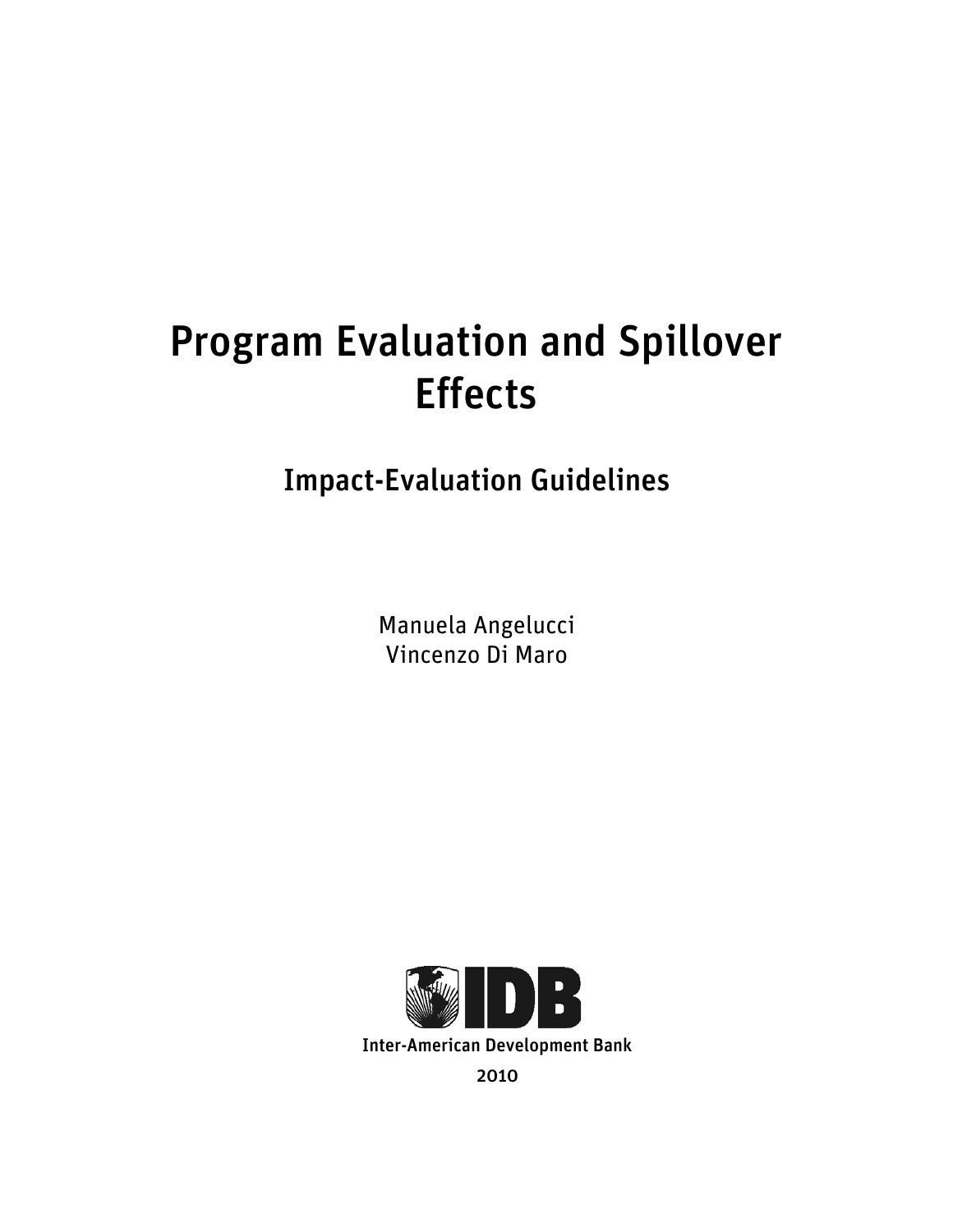# Program Evaluation and Spillover Effects

# Impact-Evaluation Guidelines

Manuela Angelucci Vincenzo Di Maro

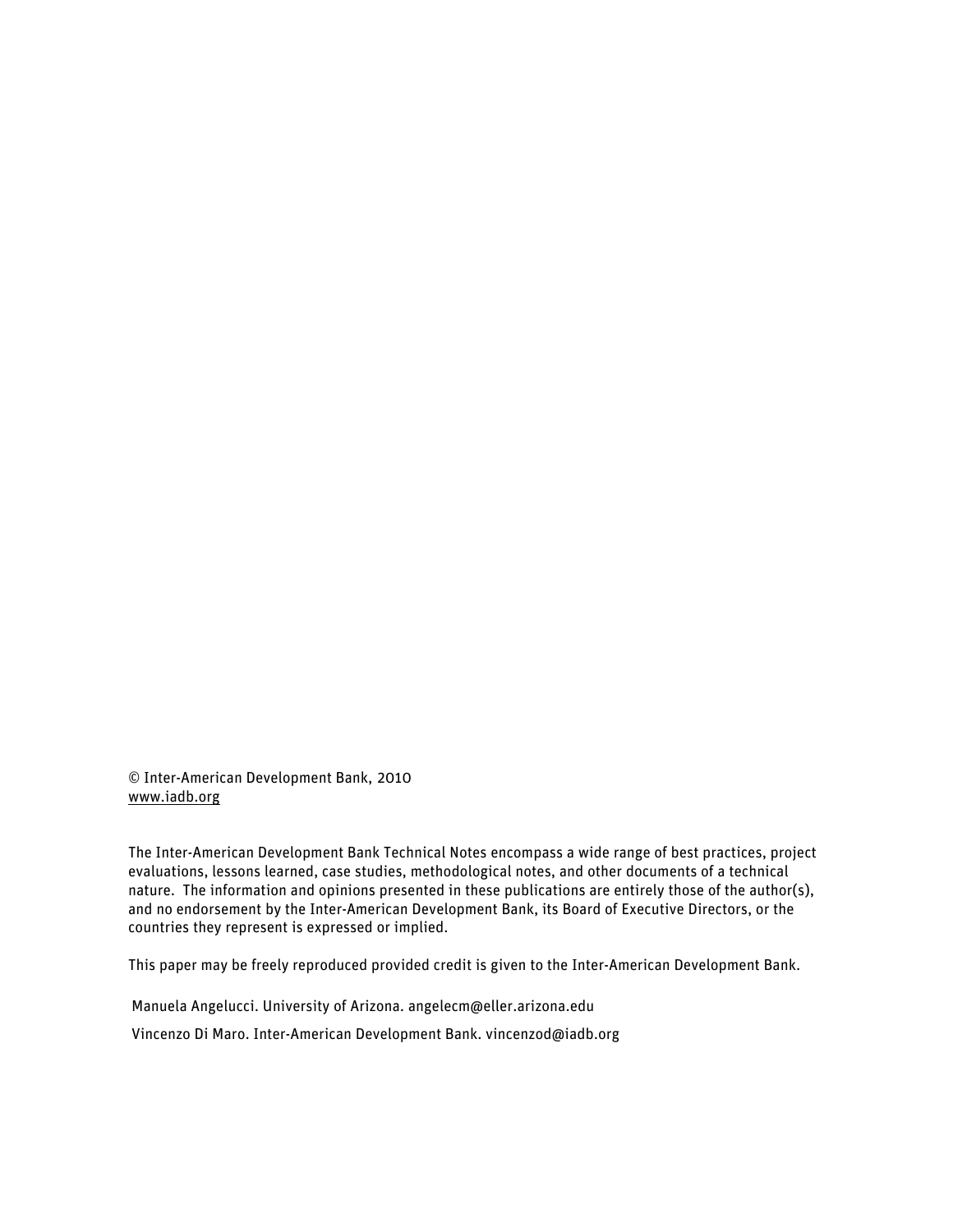© Inter-American Development Bank, 2010 www.iadb.org

The Inter-American Development Bank Technical Notes encompass a wide range of best practices, project evaluations, lessons learned, case studies, methodological notes, and other documents of a technical nature. The information and opinions presented in these publications are entirely those of the author(s), and no endorsement by the Inter-American Development Bank, its Board of Executive Directors, or the countries they represent is expressed or implied.

This paper may be freely reproduced provided credit is given to the Inter-American Development Bank.

Manuela Angelucci. University of Arizona. angelecm@eller.arizona.edu

Vincenzo Di Maro. Inter-American Development Bank. vincenzod@iadb.org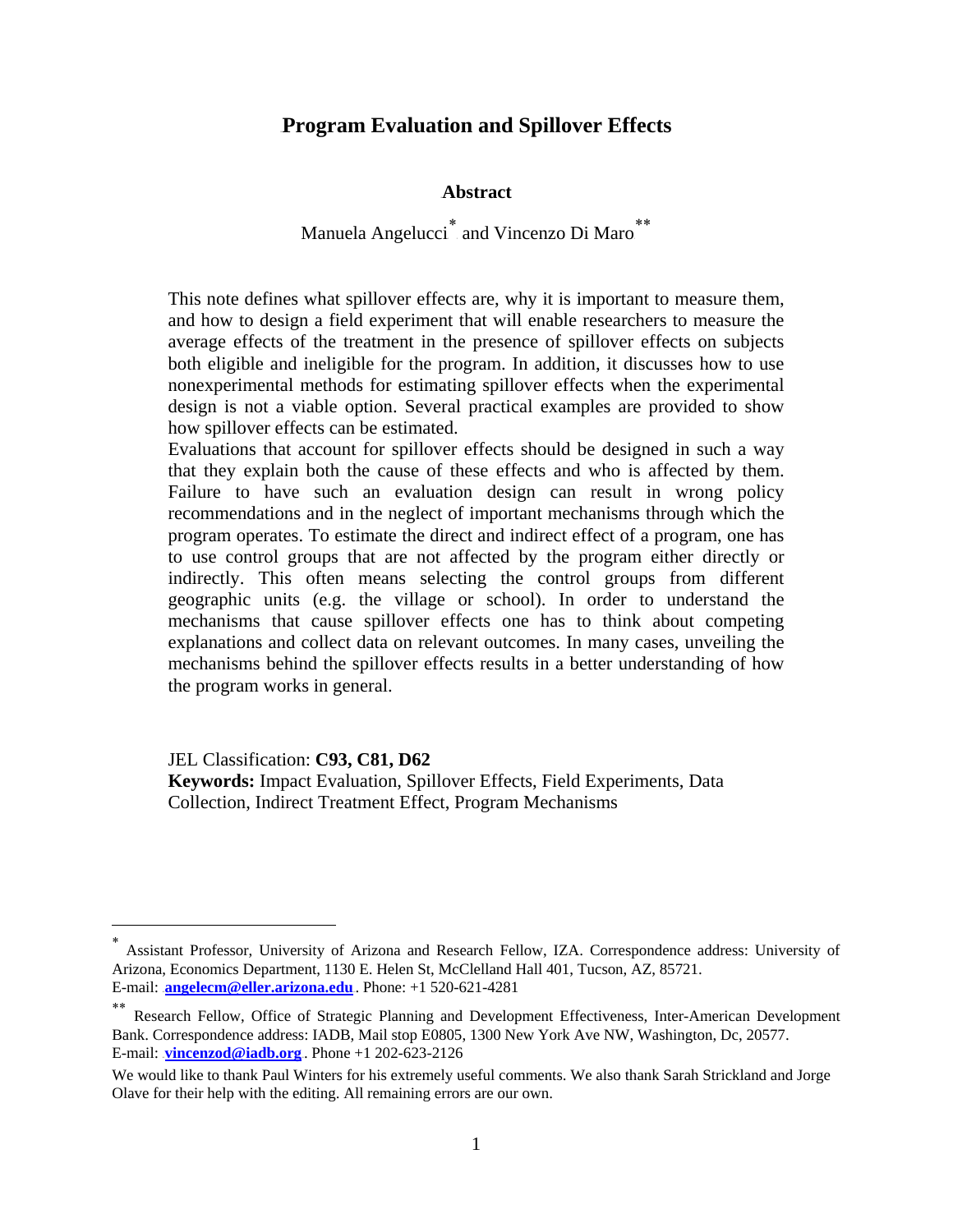## 0B**Program Evaluation and Spillover Effects**

#### Abstract

Manuela Angelucci<sup>∗</sup> and Vincenzo Di Maro<sup>\*\*</sup>

This note defines what spillover effects are, why it is important to measure them, and how to design a field experiment that will enable researchers to measure the average effects of the treatment in the presence of spillover effects on subjects both eligible and ineligible for the program. In addition, it discusses how to use nonexperimental methods for estimating spillover effects when the experimental design is not a viable option. Several practical examples are provided to show how spillover effects can be estimated.

Evaluations that account for spillover effects should be designed in such a way that they explain both the cause of these effects and who is affected by them. Failure to have such an evaluation design can result in wrong policy recommendations and in the neglect of important mechanisms through which the program operates. To estimate the direct and indirect effect of a program, one has to use control groups that are not affected by the program either directly or indirectly. This often means selecting the control groups from different geographic units (e.g. the village or school). In order to understand the mechanisms that cause spillover effects one has to think about competing explanations and collect data on relevant outcomes. In many cases, unveiling the mechanisms behind the spillover effects results in a better understanding of how the program works in general.

JEL Classification: **C93, C81, D62** 

 $\overline{a}$ 

**Keywords:** Impact Evaluation, Spillover Effects, Field Experiments, Data Collection, Indirect Treatment Effect, Program Mechanisms

<sup>∗</sup> Assistant Professor, University of Arizona and Research Fellow, IZA. Correspondence address: University of Arizona, Economics Department, 1130 E. Helen St, McClelland Hall 401, Tucson, AZ, 85721. E-mail: **angelecm@eller.arizona.edu** Phone: +1 520-621-4281

<sup>∗∗</sup> Research Fellow, Office of Strategic Planning and Development Effectiveness, Inter-American Development Bank. Correspondence address: IADB, Mail stop E0805, 1300 New York Ave NW, Washington, Dc, 20577. E-mail:  $vincenzod@iadb.org$ . Phone +1 202-623-2126

We would like to thank Paul Winters for his extremely useful comments. We also thank Sarah Strickland and Jorge Olave for their help with the editing. All remaining errors are our own.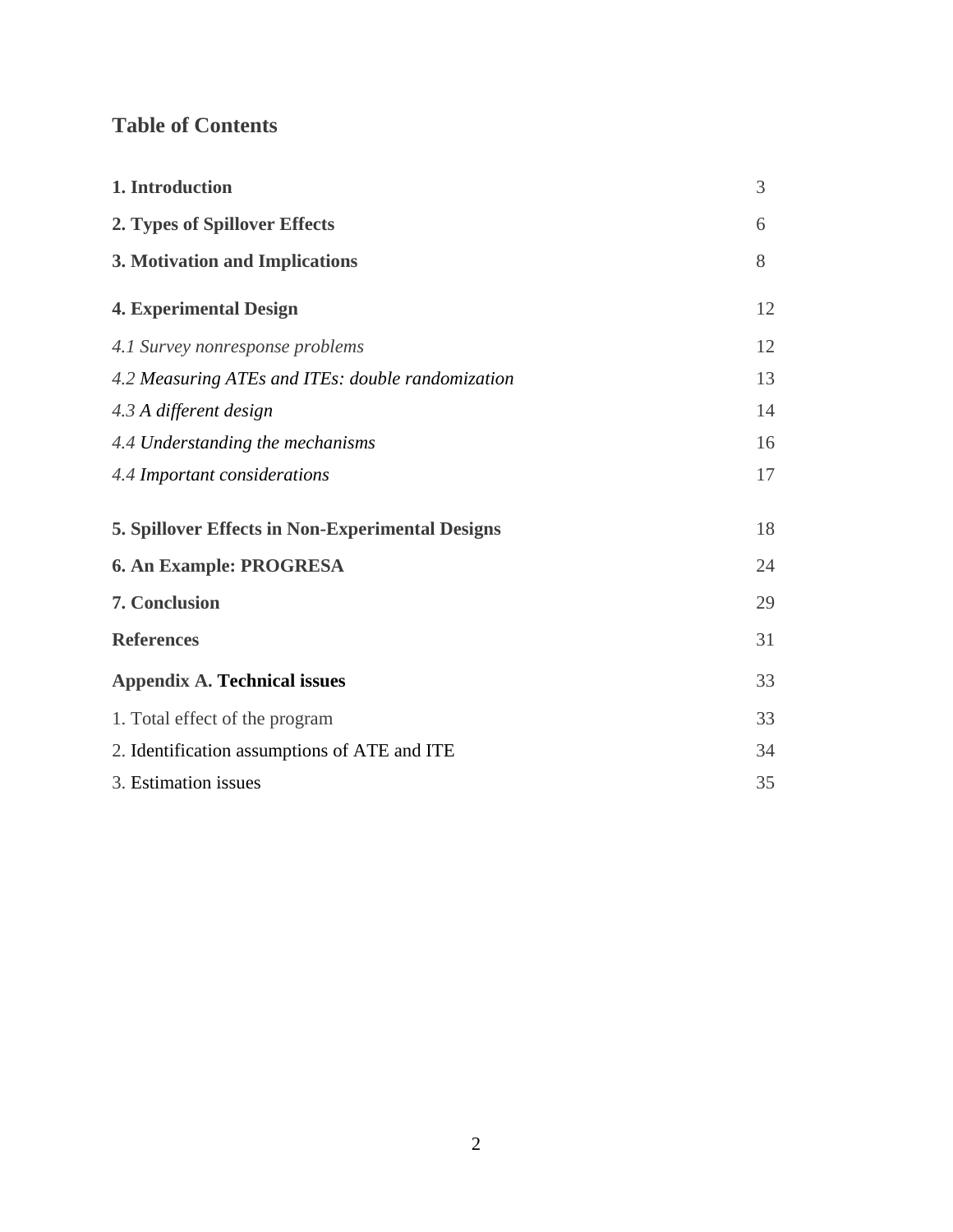## **Table of Contents**

| 1. Introduction                                         | 3  |
|---------------------------------------------------------|----|
| 2. Types of Spillover Effects                           | 6  |
| 3. Motivation and Implications                          | 8  |
| <b>4. Experimental Design</b>                           | 12 |
| 4.1 Survey nonresponse problems                         | 12 |
| 4.2 Measuring ATEs and ITEs: double randomization       | 13 |
| 4.3 A different design                                  | 14 |
| 4.4 Understanding the mechanisms                        | 16 |
| 4.4 Important considerations                            | 17 |
| <b>5. Spillover Effects in Non-Experimental Designs</b> | 18 |
| 6. An Example: PROGRESA                                 | 24 |
| 7. Conclusion                                           | 29 |
| <b>References</b>                                       | 31 |
| <b>Appendix A. Technical issues</b>                     | 33 |
| 1. Total effect of the program                          | 33 |
| 2. Identification assumptions of ATE and ITE            | 34 |
| 3. Estimation issues                                    | 35 |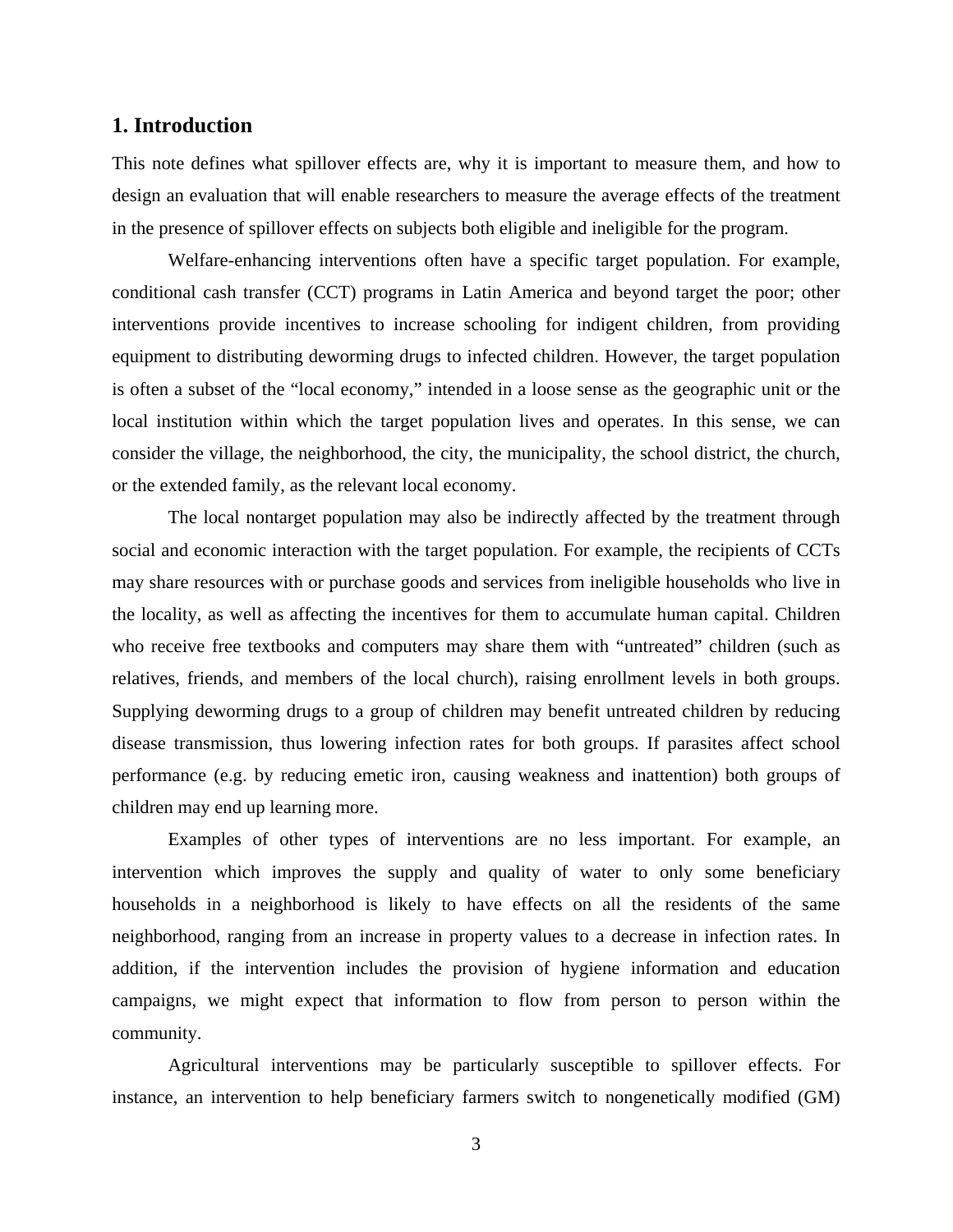#### **1. Introduction**

This note defines what spillover effects are, why it is important to measure them, and how to design an evaluation that will enable researchers to measure the average effects of the treatment in the presence of spillover effects on subjects both eligible and ineligible for the program.

Welfare-enhancing interventions often have a specific target population. For example, conditional cash transfer (CCT) programs in Latin America and beyond target the poor; other interventions provide incentives to increase schooling for indigent children, from providing equipment to distributing deworming drugs to infected children. However, the target population is often a subset of the "local economy," intended in a loose sense as the geographic unit or the local institution within which the target population lives and operates. In this sense, we can consider the village, the neighborhood, the city, the municipality, the school district, the church, or the extended family, as the relevant local economy.

The local nontarget population may also be indirectly affected by the treatment through social and economic interaction with the target population. For example, the recipients of CCTs may share resources with or purchase goods and services from ineligible households who live in the locality, as well as affecting the incentives for them to accumulate human capital. Children who receive free textbooks and computers may share them with "untreated" children (such as relatives, friends, and members of the local church), raising enrollment levels in both groups. Supplying deworming drugs to a group of children may benefit untreated children by reducing disease transmission, thus lowering infection rates for both groups. If parasites affect school performance (e.g. by reducing emetic iron, causing weakness and inattention) both groups of children may end up learning more.

Examples of other types of interventions are no less important. For example, an intervention which improves the supply and quality of water to only some beneficiary households in a neighborhood is likely to have effects on all the residents of the same neighborhood, ranging from an increase in property values to a decrease in infection rates. In addition, if the intervention includes the provision of hygiene information and education campaigns, we might expect that information to flow from person to person within the community.

Agricultural interventions may be particularly susceptible to spillover effects. For instance, an intervention to help beneficiary farmers switch to nongenetically modified (GM)

3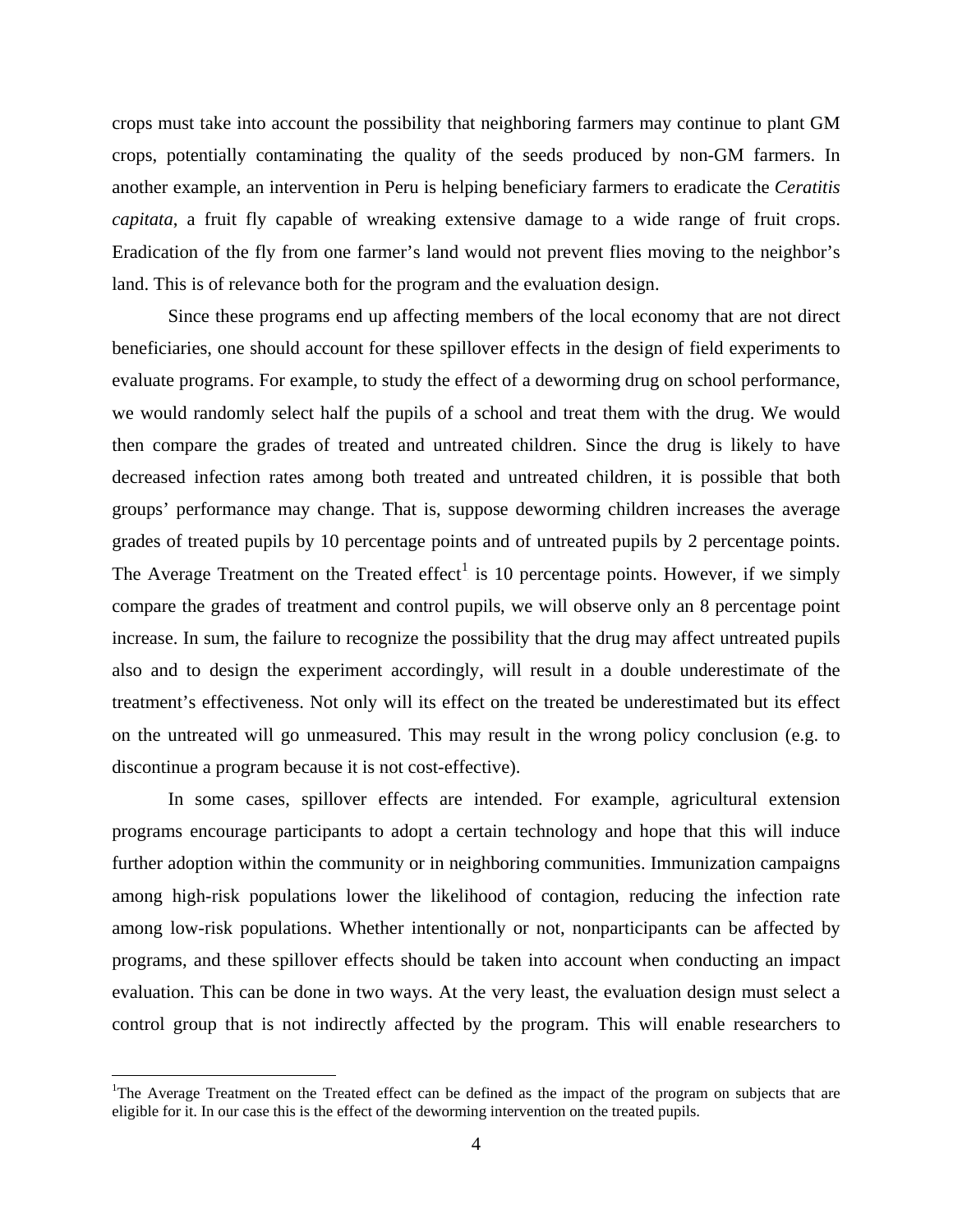crops must take into account the possibility that neighboring farmers may continue to plant GM crops, potentially contaminating the quality of the seeds produced by non-GM farmers. In another example, an intervention in Peru is helping beneficiary farmers to eradicate the *Ceratitis capitata*, a fruit fly capable of wreaking extensive damage to a wide range of fruit crops. Eradication of the fly from one farmer's land would not prevent flies moving to the neighbor's land. This is of relevance both for the program and the evaluation design.

Since these programs end up affecting members of the local economy that are not direct beneficiaries, one should account for these spillover effects in the design of field experiments to evaluate programs. For example, to study the effect of a deworming drug on school performance, we would randomly select half the pupils of a school and treat them with the drug. We would then compare the grades of treated and untreated children. Since the drug is likely to have decreased infection rates among both treated and untreated children, it is possible that both groups' performance may change. That is, suppose deworming children increases the average grades of treated pupils by 10 percentage points and of untreated pupils by 2 percentage points. The Average Treatment on the Treated effect<sup>1</sup> is 10 percentage points. However, if we simply compare the grades of treatment and control pupils, we will observe only an 8 percentage point increase. In sum, the failure to recognize the possibility that the drug may affect untreated pupils also and to design the experiment accordingly, will result in a double underestimate of the treatment's effectiveness. Not only will its effect on the treated be underestimated but its effect on the untreated will go unmeasured. This may result in the wrong policy conclusion (e.g. to discontinue a program because it is not cost-effective).

In some cases, spillover effects are intended. For example, agricultural extension programs encourage participants to adopt a certain technology and hope that this will induce further adoption within the community or in neighboring communities. Immunization campaigns among high-risk populations lower the likelihood of contagion, reducing the infection rate among low-risk populations. Whether intentionally or not, nonparticipants can be affected by programs, and these spillover effects should be taken into account when conducting an impact evaluation. This can be done in two ways. At the very least, the evaluation design must select a control group that is not indirectly affected by the program. This will enable researchers to

1

<sup>&</sup>lt;sup>1</sup>The Average Treatment on the Treated effect can be defined as the impact of the program on subjects that are eligible for it. In our case this is the effect of the deworming intervention on the treated pupils.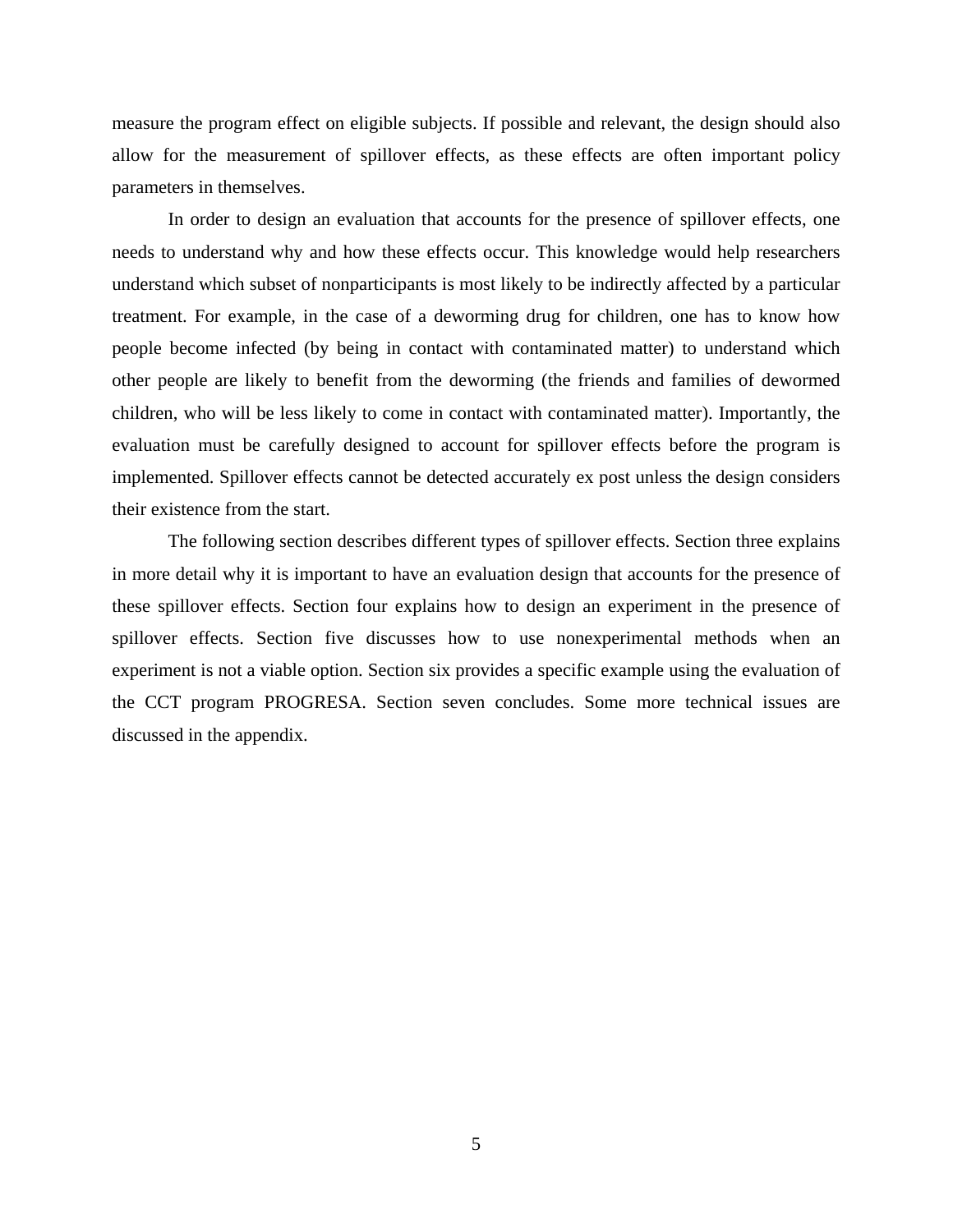measure the program effect on eligible subjects. If possible and relevant, the design should also allow for the measurement of spillover effects, as these effects are often important policy parameters in themselves.

In order to design an evaluation that accounts for the presence of spillover effects, one needs to understand why and how these effects occur. This knowledge would help researchers understand which subset of nonparticipants is most likely to be indirectly affected by a particular treatment. For example, in the case of a deworming drug for children, one has to know how people become infected (by being in contact with contaminated matter) to understand which other people are likely to benefit from the deworming (the friends and families of dewormed children, who will be less likely to come in contact with contaminated matter). Importantly, the evaluation must be carefully designed to account for spillover effects before the program is implemented. Spillover effects cannot be detected accurately ex post unless the design considers their existence from the start.

The following section describes different types of spillover effects. Section three explains in more detail why it is important to have an evaluation design that accounts for the presence of these spillover effects. Section four explains how to design an experiment in the presence of spillover effects. Section five discusses how to use nonexperimental methods when an experiment is not a viable option. Section six provides a specific example using the evaluation of the CCT program PROGRESA. Section seven concludes. Some more technical issues are discussed in the appendix.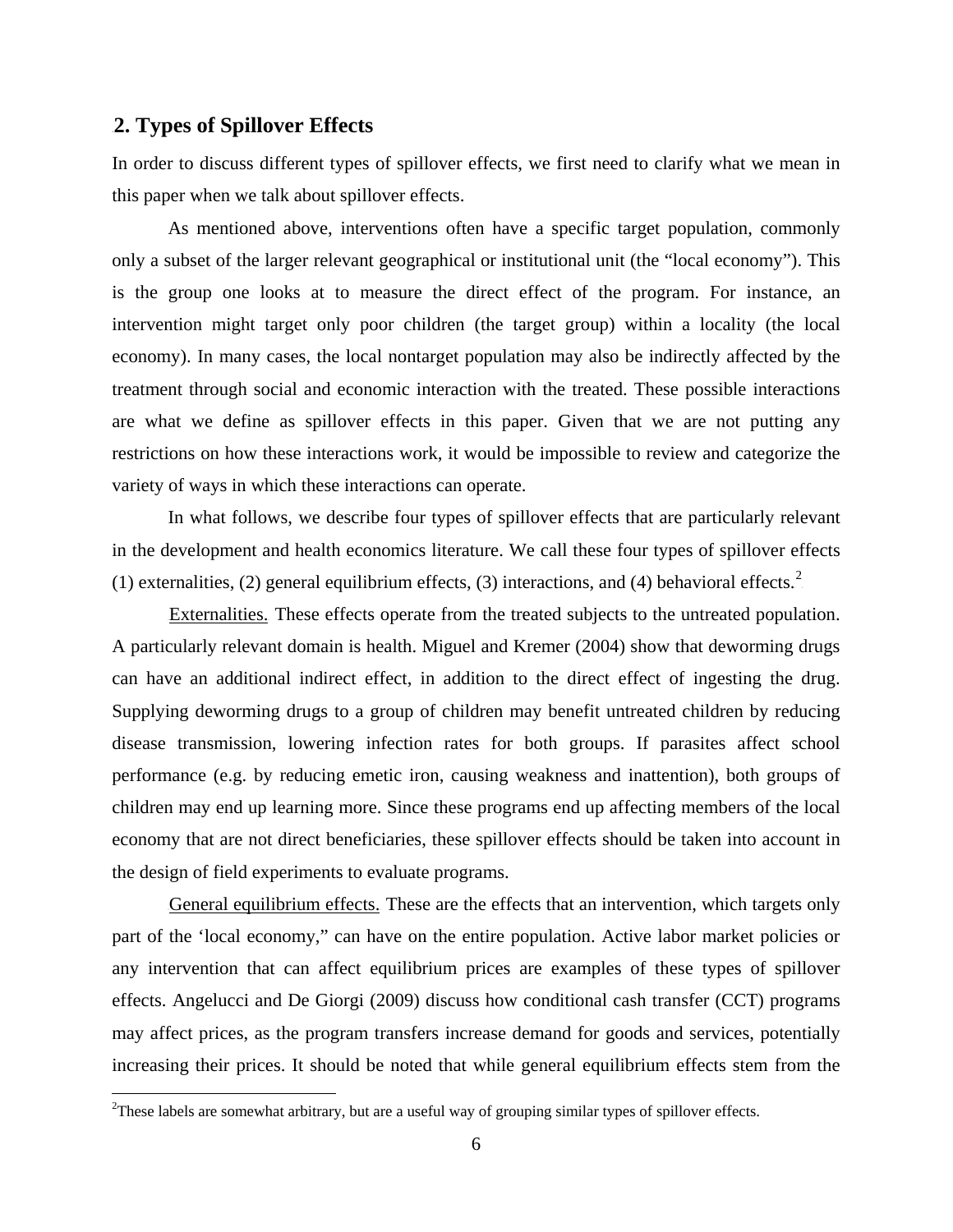#### 2B**2. Types of Spillover Effects**

 $\overline{a}$ 

In order to discuss different types of spillover effects, we first need to clarify what we mean in this paper when we talk about spillover effects.

As mentioned above, interventions often have a specific target population, commonly only a subset of the larger relevant geographical or institutional unit (the "local economy"). This is the group one looks at to measure the direct effect of the program. For instance, an intervention might target only poor children (the target group) within a locality (the local economy). In many cases, the local nontarget population may also be indirectly affected by the treatment through social and economic interaction with the treated. These possible interactions are what we define as spillover effects in this paper. Given that we are not putting any restrictions on how these interactions work, it would be impossible to review and categorize the variety of ways in which these interactions can operate.

In what follows, we describe four types of spillover effects that are particularly relevant in the development and health economics literature. We call these four types of spillover effects (1) externalities, (2) general equilibrium effects, (3) interactions, and (4) behavioral effects.<sup>2</sup>

Externalities. These effects operate from the treated subjects to the untreated population. A particularly relevant domain is health. Miguel and Kremer (2004) show that deworming drugs can have an additional indirect effect, in addition to the direct effect of ingesting the drug. Supplying deworming drugs to a group of children may benefit untreated children by reducing disease transmission, lowering infection rates for both groups. If parasites affect school performance (e.g. by reducing emetic iron, causing weakness and inattention), both groups of children may end up learning more. Since these programs end up affecting members of the local economy that are not direct beneficiaries, these spillover effects should be taken into account in the design of field experiments to evaluate programs.

General equilibrium effects. These are the effects that an intervention, which targets only part of the 'local economy," can have on the entire population. Active labor market policies or any intervention that can affect equilibrium prices are examples of these types of spillover effects. Angelucci and De Giorgi (2009) discuss how conditional cash transfer (CCT) programs may affect prices, as the program transfers increase demand for goods and services, potentially increasing their prices. It should be noted that while general equilibrium effects stem from the

 $2$ These labels are somewhat arbitrary, but are a useful way of grouping similar types of spillover effects.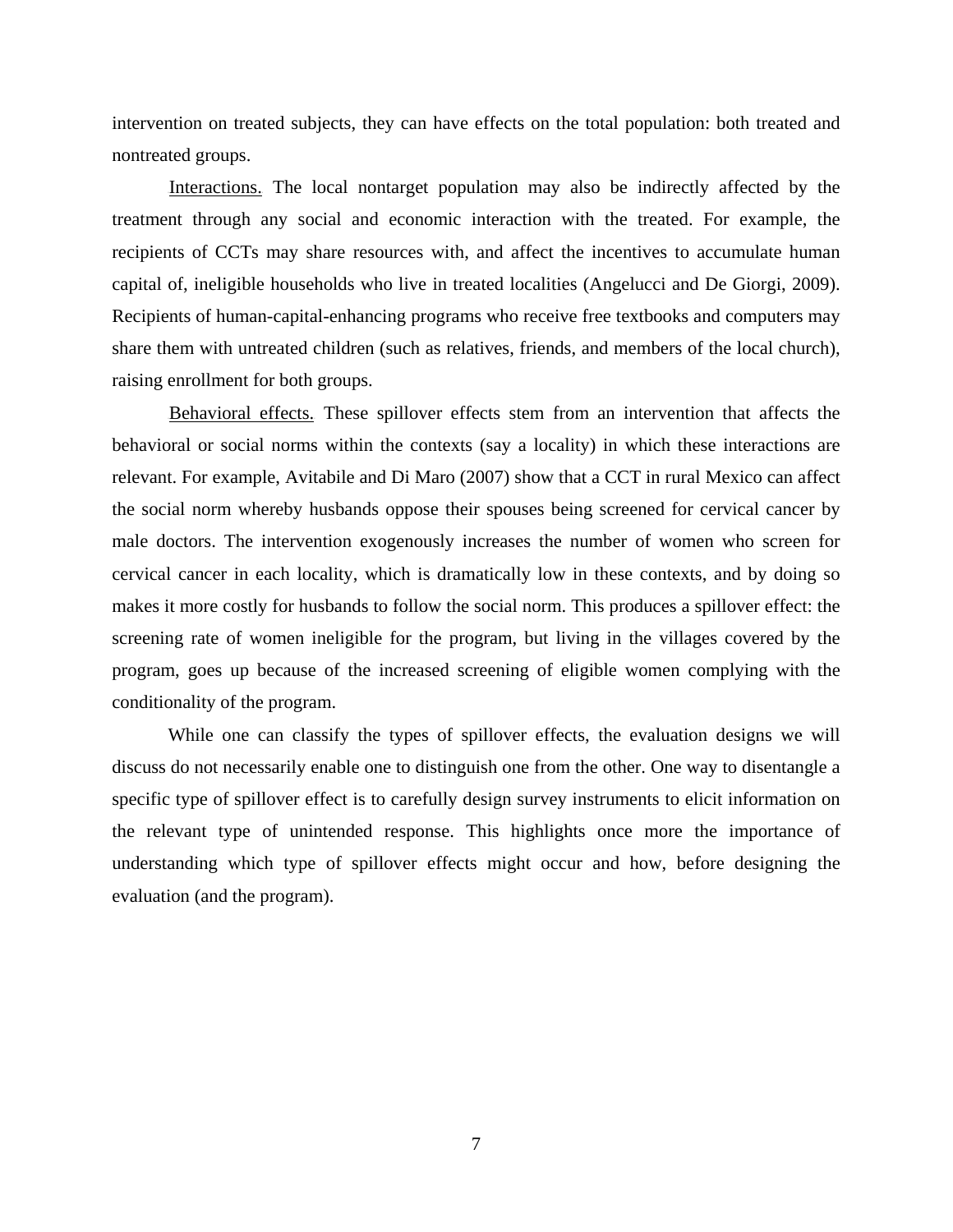intervention on treated subjects, they can have effects on the total population: both treated and nontreated groups.

Interactions. The local nontarget population may also be indirectly affected by the treatment through any social and economic interaction with the treated. For example, the recipients of CCTs may share resources with, and affect the incentives to accumulate human capital of, ineligible households who live in treated localities (Angelucci and De Giorgi, 2009). Recipients of human-capital-enhancing programs who receive free textbooks and computers may share them with untreated children (such as relatives, friends, and members of the local church), raising enrollment for both groups.

Behavioral effects. These spillover effects stem from an intervention that affects the behavioral or social norms within the contexts (say a locality) in which these interactions are relevant. For example, Avitabile and Di Maro (2007) show that a CCT in rural Mexico can affect the social norm whereby husbands oppose their spouses being screened for cervical cancer by male doctors. The intervention exogenously increases the number of women who screen for cervical cancer in each locality, which is dramatically low in these contexts, and by doing so makes it more costly for husbands to follow the social norm. This produces a spillover effect: the screening rate of women ineligible for the program, but living in the villages covered by the program, goes up because of the increased screening of eligible women complying with the conditionality of the program.

While one can classify the types of spillover effects, the evaluation designs we will discuss do not necessarily enable one to distinguish one from the other. One way to disentangle a specific type of spillover effect is to carefully design survey instruments to elicit information on the relevant type of unintended response. This highlights once more the importance of understanding which type of spillover effects might occur and how, before designing the evaluation (and the program).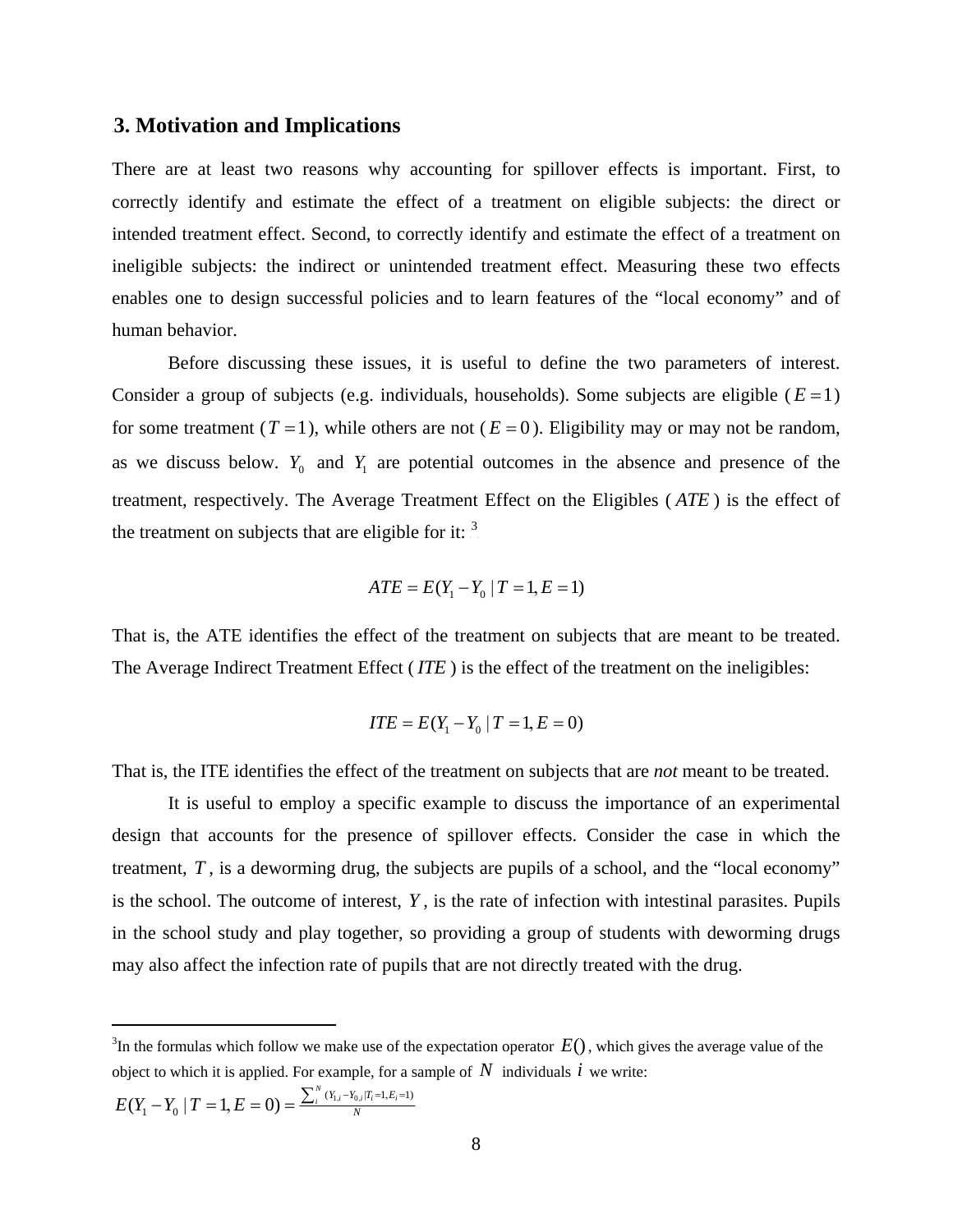#### 3B**3. Motivation and Implications**

There are at least two reasons why accounting for spillover effects is important. First, to correctly identify and estimate the effect of a treatment on eligible subjects: the direct or intended treatment effect. Second, to correctly identify and estimate the effect of a treatment on ineligible subjects: the indirect or unintended treatment effect. Measuring these two effects enables one to design successful policies and to learn features of the "local economy" and of human behavior.

Before discussing these issues, it is useful to define the two parameters of interest. Consider a group of subjects (e.g. individuals, households). Some subjects are eligible ( $E=1$ ) for some treatment  $(T=1)$ , while others are not  $(E=0)$ . Eligibility may or may not be random, as we discuss below.  $Y_0$  and  $Y_1$  are potential outcomes in the absence and presence of the treatment, respectively. The Average Treatment Effect on the Eligibles ( *ATE* ) is the effect of the treatment on subjects that are eligible for it:  $\frac{3}{10}$ 

$$
ATE = E(Y_1 - Y_0 \mid T = 1, E = 1)
$$

That is, the ATE identifies the effect of the treatment on subjects that are meant to be treated. The Average Indirect Treatment Effect ( *ITE* ) is the effect of the treatment on the ineligibles:

$$
ITE = E(Y_1 - Y_0 | T = 1, E = 0)
$$

That is, the ITE identifies the effect of the treatment on subjects that are *not* meant to be treated.

It is useful to employ a specific example to discuss the importance of an experimental design that accounts for the presence of spillover effects. Consider the case in which the treatment,  $T$ , is a deworming drug, the subjects are pupils of a school, and the "local economy" is the school. The outcome of interest, *Y* , is the rate of infection with intestinal parasites. Pupils in the school study and play together, so providing a group of students with deworming drugs may also affect the infection rate of pupils that are not directly treated with the drug.

$$
E(Y_1 - Y_0 \mid T = 1, E = 0) = \frac{\sum_i^N (Y_{1,i} - Y_{0,i} | T_i = 1, E_i = 1)}{N}
$$

<sup>&</sup>lt;sup>3</sup>In the formulas which follow we make use of the expectation operator  $E()$ , which gives the average value of the object to which it is applied. For example, for a sample of  $N$  individuals  $i$  we write: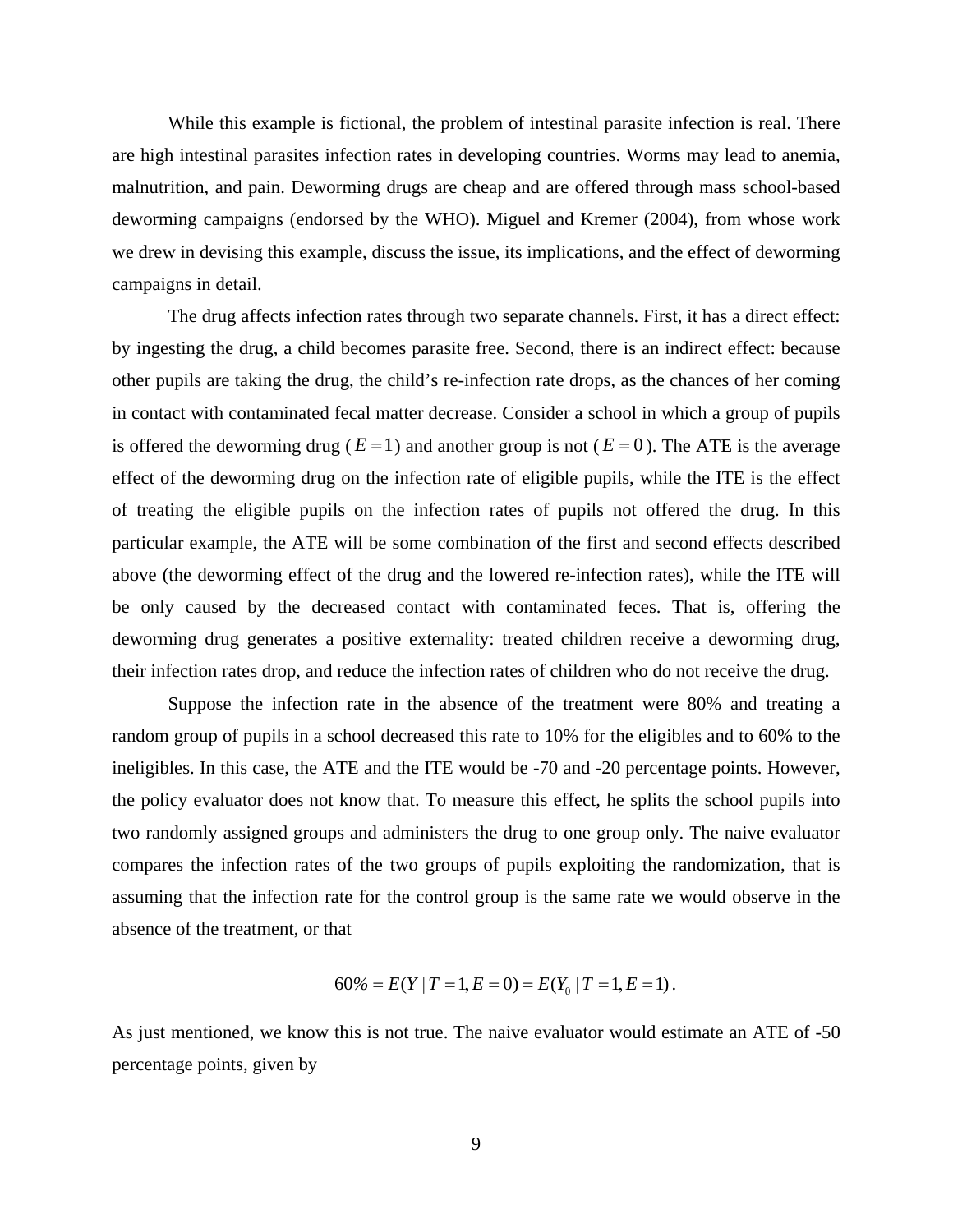While this example is fictional, the problem of intestinal parasite infection is real. There are high intestinal parasites infection rates in developing countries. Worms may lead to anemia, malnutrition, and pain. Deworming drugs are cheap and are offered through mass school-based deworming campaigns (endorsed by the WHO). Miguel and Kremer (2004), from whose work we drew in devising this example, discuss the issue, its implications, and the effect of deworming campaigns in detail.

The drug affects infection rates through two separate channels. First, it has a direct effect: by ingesting the drug, a child becomes parasite free. Second, there is an indirect effect: because other pupils are taking the drug, the child's re-infection rate drops, as the chances of her coming in contact with contaminated fecal matter decrease. Consider a school in which a group of pupils is offered the deworming drug ( $E=1$ ) and another group is not ( $E=0$ ). The ATE is the average effect of the deworming drug on the infection rate of eligible pupils, while the ITE is the effect of treating the eligible pupils on the infection rates of pupils not offered the drug. In this particular example, the ATE will be some combination of the first and second effects described above (the deworming effect of the drug and the lowered re-infection rates), while the ITE will be only caused by the decreased contact with contaminated feces. That is, offering the deworming drug generates a positive externality: treated children receive a deworming drug, their infection rates drop, and reduce the infection rates of children who do not receive the drug.

Suppose the infection rate in the absence of the treatment were 80% and treating a random group of pupils in a school decreased this rate to 10% for the eligibles and to 60% to the ineligibles. In this case, the ATE and the ITE would be -70 and -20 percentage points. However, the policy evaluator does not know that. To measure this effect, he splits the school pupils into two randomly assigned groups and administers the drug to one group only. The naive evaluator compares the infection rates of the two groups of pupils exploiting the randomization, that is assuming that the infection rate for the control group is the same rate we would observe in the absence of the treatment, or that

$$
60\% = E(Y | T = 1, E = 0) = E(Y_0 | T = 1, E = 1).
$$

As just mentioned, we know this is not true. The naive evaluator would estimate an ATE of -50 percentage points, given by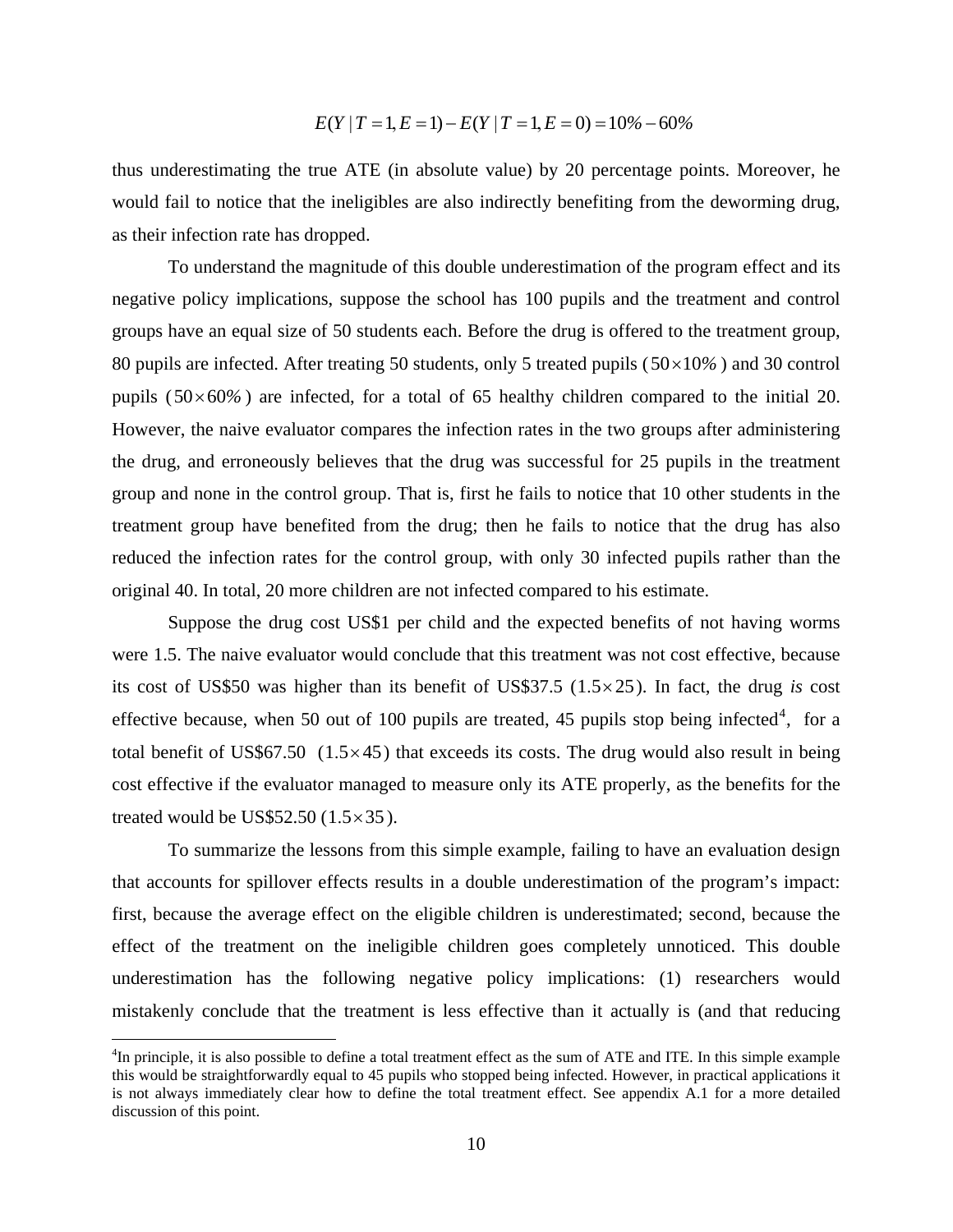$$
E(Y | T = 1, E = 1) - E(Y | T = 1, E = 0) = 10\% - 60\%
$$

thus underestimating the true ATE (in absolute value) by 20 percentage points. Moreover, he would fail to notice that the ineligibles are also indirectly benefiting from the deworming drug, as their infection rate has dropped.

To understand the magnitude of this double underestimation of the program effect and its negative policy implications, suppose the school has 100 pupils and the treatment and control groups have an equal size of 50 students each. Before the drug is offered to the treatment group, 80 pupils are infected. After treating 50 students, only 5 treated pupils  $(50 \times 10\%)$  and 30 control pupils  $(50 \times 60\%)$  are infected, for a total of 65 healthy children compared to the initial 20. However, the naive evaluator compares the infection rates in the two groups after administering the drug, and erroneously believes that the drug was successful for 25 pupils in the treatment group and none in the control group. That is, first he fails to notice that 10 other students in the treatment group have benefited from the drug; then he fails to notice that the drug has also reduced the infection rates for the control group, with only 30 infected pupils rather than the original 40. In total, 20 more children are not infected compared to his estimate.

Suppose the drug cost US\$1 per child and the expected benefits of not having worms were 1.5. The naive evaluator would conclude that this treatment was not cost effective, because its cost of US\$50 was higher than its benefit of US\$37.5  $(1.5 \times 25)$ . In fact, the drug *is* cost effective because, when 50 out of 100 pupils are treated, 45 pupils stop being infected<sup>4</sup>, for a total benefit of US\$67.50  $(1.5 \times 45)$  that exceeds its costs. The drug would also result in being cost effective if the evaluator managed to measure only its ATE properly, as the benefits for the treated would be US\$52.50  $(1.5 \times 35)$ .

To summarize the lessons from this simple example, failing to have an evaluation design that accounts for spillover effects results in a double underestimation of the program's impact: first, because the average effect on the eligible children is underestimated; second, because the effect of the treatment on the ineligible children goes completely unnoticed. This double underestimation has the following negative policy implications: (1) researchers would mistakenly conclude that the treatment is less effective than it actually is (and that reducing

<sup>&</sup>lt;sup>4</sup>In principle, it is also possible to define a total treatment effect as the sum of ATE and ITE. In this simple example this would be straightforwardly equal to 45 pupils who stopped being infected. However, in practical applications it is not always immediately clear how to define the total treatment effect. See appendix A.1 for a more detailed discussion of this point.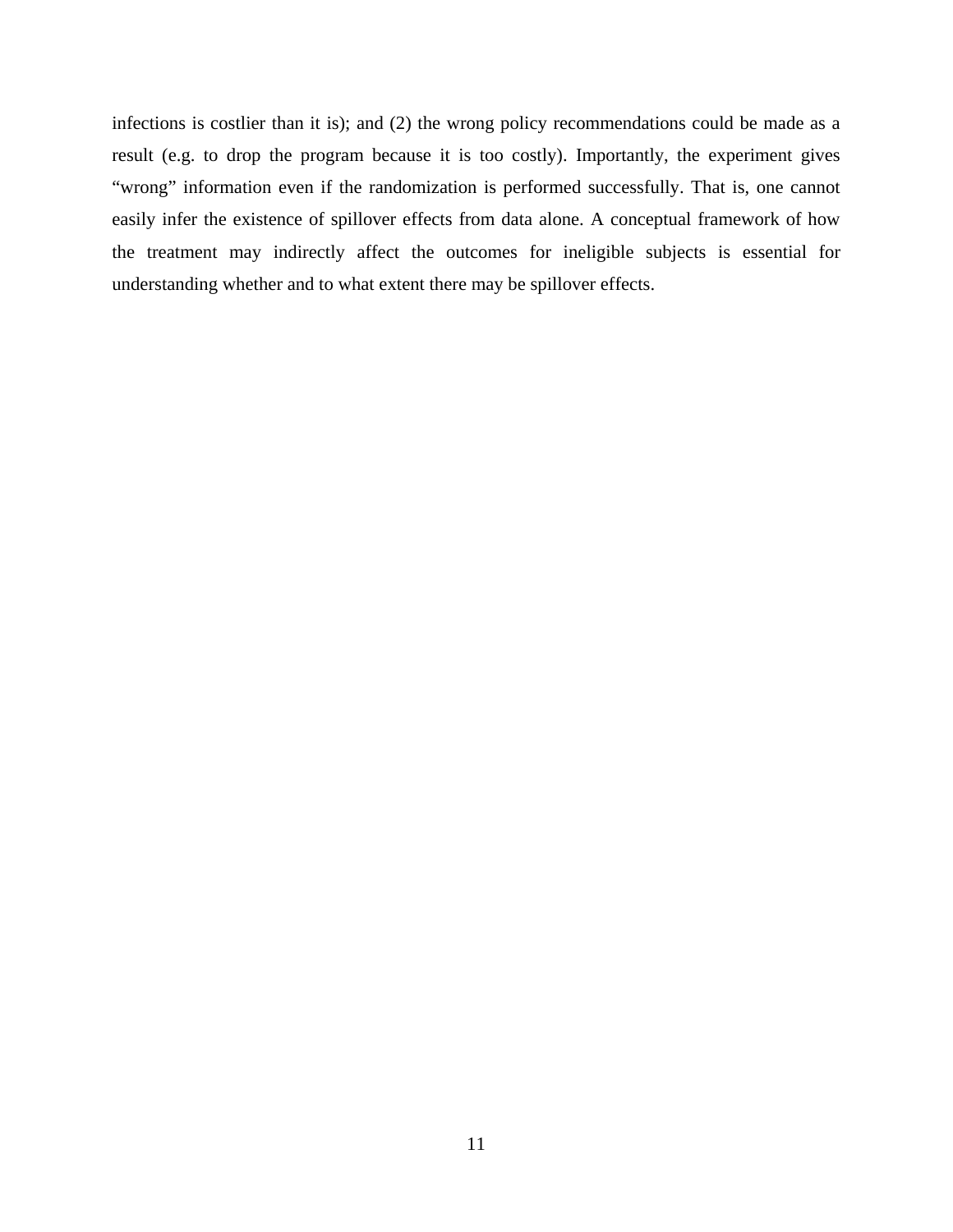infections is costlier than it is); and (2) the wrong policy recommendations could be made as a result (e.g. to drop the program because it is too costly). Importantly, the experiment gives "wrong" information even if the randomization is performed successfully. That is, one cannot easily infer the existence of spillover effects from data alone. A conceptual framework of how the treatment may indirectly affect the outcomes for ineligible subjects is essential for understanding whether and to what extent there may be spillover effects.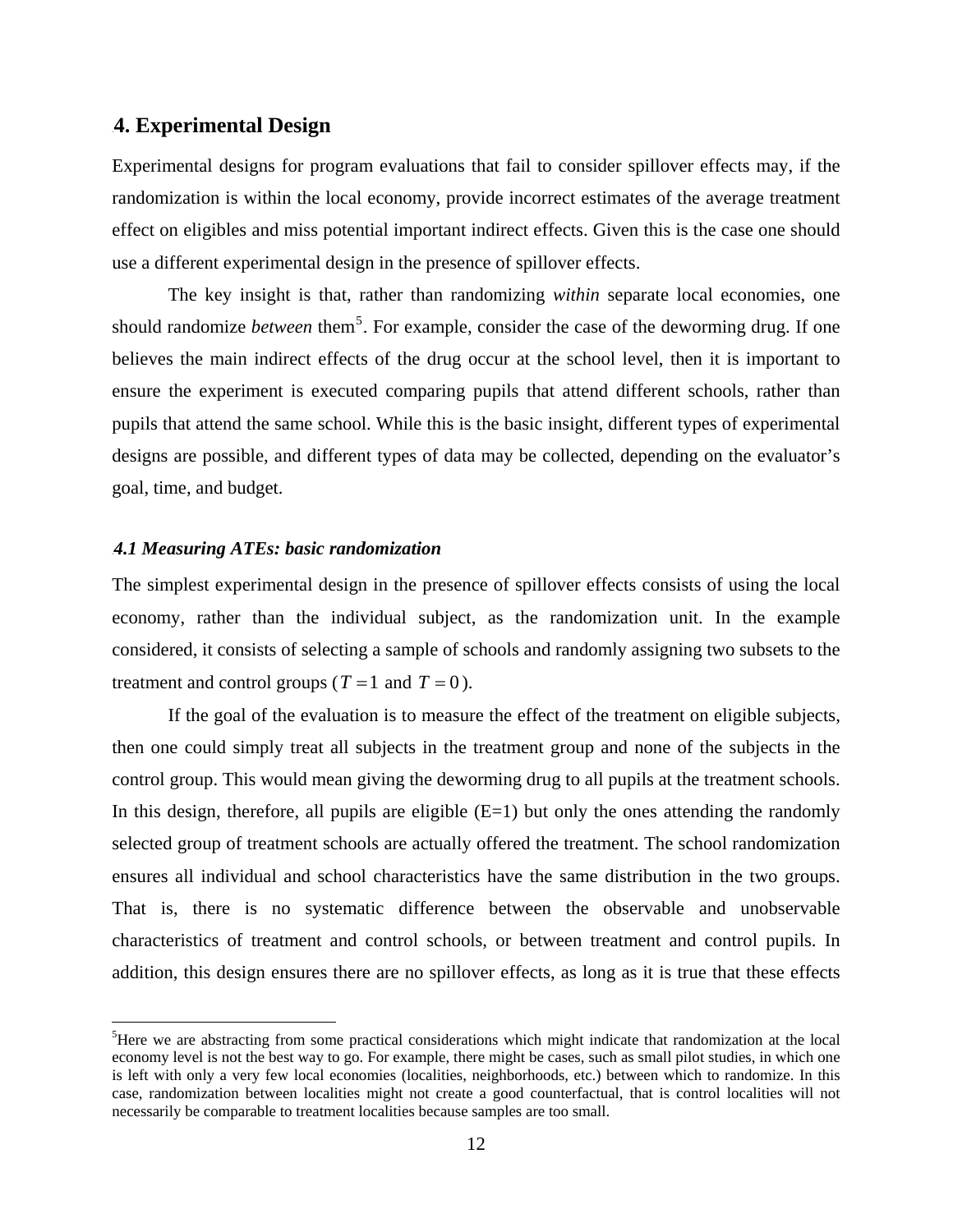#### 4B**4. Experimental Design**

Experimental designs for program evaluations that fail to consider spillover effects may, if the randomization is within the local economy, provide incorrect estimates of the average treatment effect on eligibles and miss potential important indirect effects. Given this is the case one should use a different experimental design in the presence of spillover effects.

The key insight is that, rather than randomizing *within* separate local economies, one should randomize *between* them<sup>5</sup>. For example, consider the case of the deworming drug. If one believes the main indirect effects of the drug occur at the school level, then it is important to ensure the experiment is executed comparing pupils that attend different schools, rather than pupils that attend the same school. While this is the basic insight, different types of experimental designs are possible, and different types of data may be collected, depending on the evaluator's goal, time, and budget.

#### 9B*4.1 Measuring ATEs: basic randomization*

 $\overline{a}$ 

The simplest experimental design in the presence of spillover effects consists of using the local economy, rather than the individual subject, as the randomization unit. In the example considered, it consists of selecting a sample of schools and randomly assigning two subsets to the treatment and control groups ( $T = 1$  and  $T = 0$ ).

If the goal of the evaluation is to measure the effect of the treatment on eligible subjects, then one could simply treat all subjects in the treatment group and none of the subjects in the control group. This would mean giving the deworming drug to all pupils at the treatment schools. In this design, therefore, all pupils are eligible  $(E=1)$  but only the ones attending the randomly selected group of treatment schools are actually offered the treatment. The school randomization ensures all individual and school characteristics have the same distribution in the two groups. That is, there is no systematic difference between the observable and unobservable characteristics of treatment and control schools, or between treatment and control pupils. In addition, this design ensures there are no spillover effects, as long as it is true that these effects

<sup>&</sup>lt;sup>5</sup>Here we are abstracting from some practical considerations which might indicate that randomization at the local economy level is not the best way to go. For example, there might be cases, such as small pilot studies, in which one is left with only a very few local economies (localities, neighborhoods, etc.) between which to randomize. In this case, randomization between localities might not create a good counterfactual, that is control localities will not necessarily be comparable to treatment localities because samples are too small.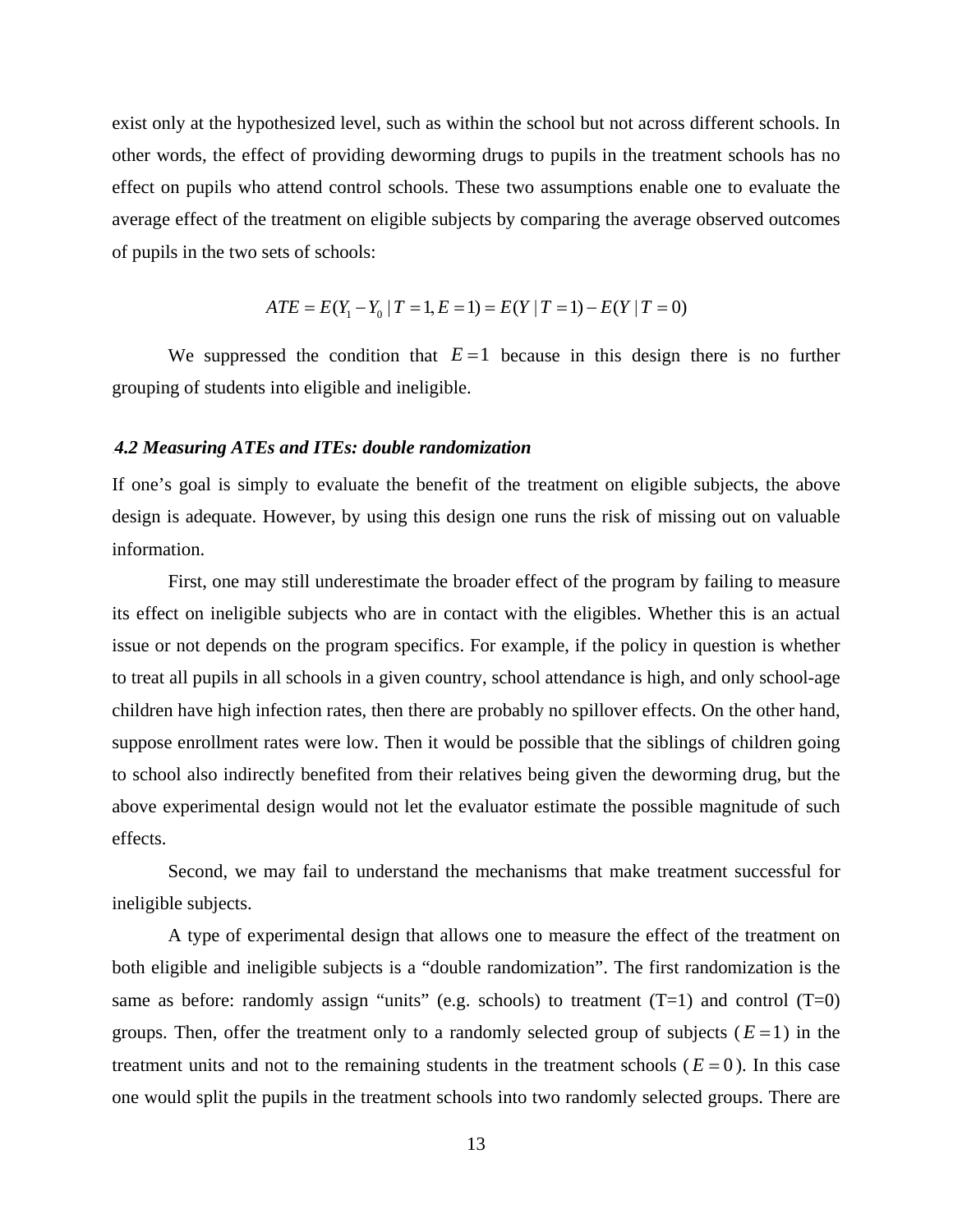exist only at the hypothesized level, such as within the school but not across different schools. In other words, the effect of providing deworming drugs to pupils in the treatment schools has no effect on pupils who attend control schools. These two assumptions enable one to evaluate the average effect of the treatment on eligible subjects by comparing the average observed outcomes of pupils in the two sets of schools:

$$
ATE = E(Y_1 - Y_0 | T = 1, E = 1) = E(Y | T = 1) - E(Y | T = 0)
$$

We suppressed the condition that  $E=1$  because in this design there is no further grouping of students into eligible and ineligible.

#### 10B*4.2 Measuring ATEs and ITEs: double randomization*

If one's goal is simply to evaluate the benefit of the treatment on eligible subjects, the above design is adequate. However, by using this design one runs the risk of missing out on valuable information.

First, one may still underestimate the broader effect of the program by failing to measure its effect on ineligible subjects who are in contact with the eligibles. Whether this is an actual issue or not depends on the program specifics. For example, if the policy in question is whether to treat all pupils in all schools in a given country, school attendance is high, and only school-age children have high infection rates, then there are probably no spillover effects. On the other hand, suppose enrollment rates were low. Then it would be possible that the siblings of children going to school also indirectly benefited from their relatives being given the deworming drug, but the above experimental design would not let the evaluator estimate the possible magnitude of such effects.

Second, we may fail to understand the mechanisms that make treatment successful for ineligible subjects.

A type of experimental design that allows one to measure the effect of the treatment on both eligible and ineligible subjects is a "double randomization". The first randomization is the same as before: randomly assign "units" (e.g. schools) to treatment  $(T=1)$  and control  $(T=0)$ groups. Then, offer the treatment only to a randomly selected group of subjects  $(E=1)$  in the treatment units and not to the remaining students in the treatment schools ( $E = 0$ ). In this case one would split the pupils in the treatment schools into two randomly selected groups. There are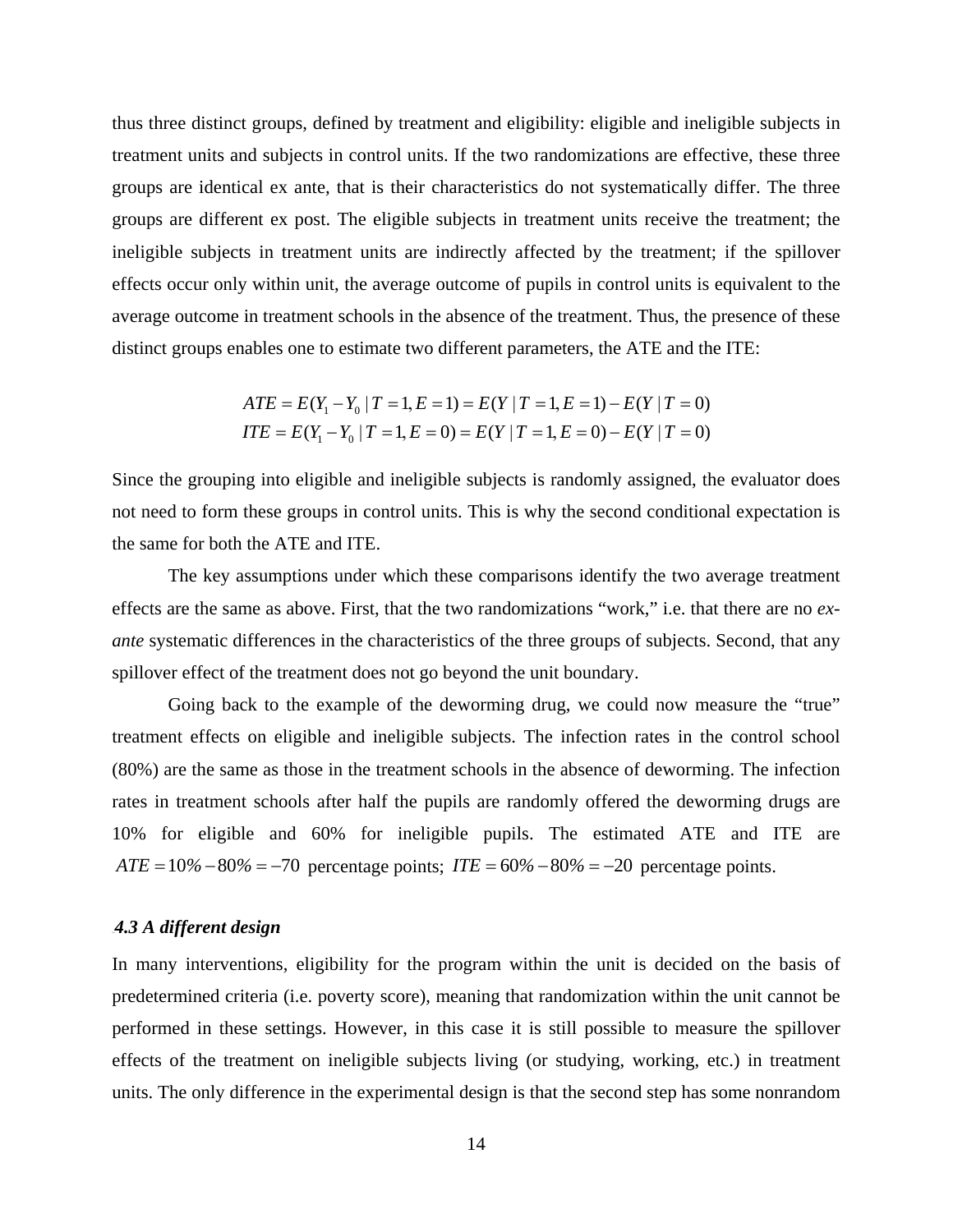thus three distinct groups, defined by treatment and eligibility: eligible and ineligible subjects in treatment units and subjects in control units. If the two randomizations are effective, these three groups are identical ex ante, that is their characteristics do not systematically differ. The three groups are different ex post. The eligible subjects in treatment units receive the treatment; the ineligible subjects in treatment units are indirectly affected by the treatment; if the spillover effects occur only within unit, the average outcome of pupils in control units is equivalent to the average outcome in treatment schools in the absence of the treatment. Thus, the presence of these distinct groups enables one to estimate two different parameters, the ATE and the ITE:

$$
ATE = E(Y_1 - Y_0 | T = 1, E = 1) = E(Y | T = 1, E = 1) - E(Y | T = 0)
$$
  
ITE = E(Y\_1 - Y\_0 | T = 1, E = 0) = E(Y | T = 1, E = 0) - E(Y | T = 0)

Since the grouping into eligible and ineligible subjects is randomly assigned, the evaluator does not need to form these groups in control units. This is why the second conditional expectation is the same for both the ATE and ITE.

The key assumptions under which these comparisons identify the two average treatment effects are the same as above. First, that the two randomizations "work," i.e. that there are no *exante* systematic differences in the characteristics of the three groups of subjects. Second, that any spillover effect of the treatment does not go beyond the unit boundary.

Going back to the example of the deworming drug, we could now measure the "true" treatment effects on eligible and ineligible subjects. The infection rates in the control school (80%) are the same as those in the treatment schools in the absence of deworming. The infection rates in treatment schools after half the pupils are randomly offered the deworming drugs are 10% for eligible and 60% for ineligible pupils. The estimated ATE and ITE are  $ATE = 10\% - 80\% = -70$  percentage points;  $ITE = 60\% - 80\% = -20$  percentage points.

#### 11B*4.3 A different design*

In many interventions, eligibility for the program within the unit is decided on the basis of predetermined criteria (i.e. poverty score), meaning that randomization within the unit cannot be performed in these settings. However, in this case it is still possible to measure the spillover effects of the treatment on ineligible subjects living (or studying, working, etc.) in treatment units. The only difference in the experimental design is that the second step has some nonrandom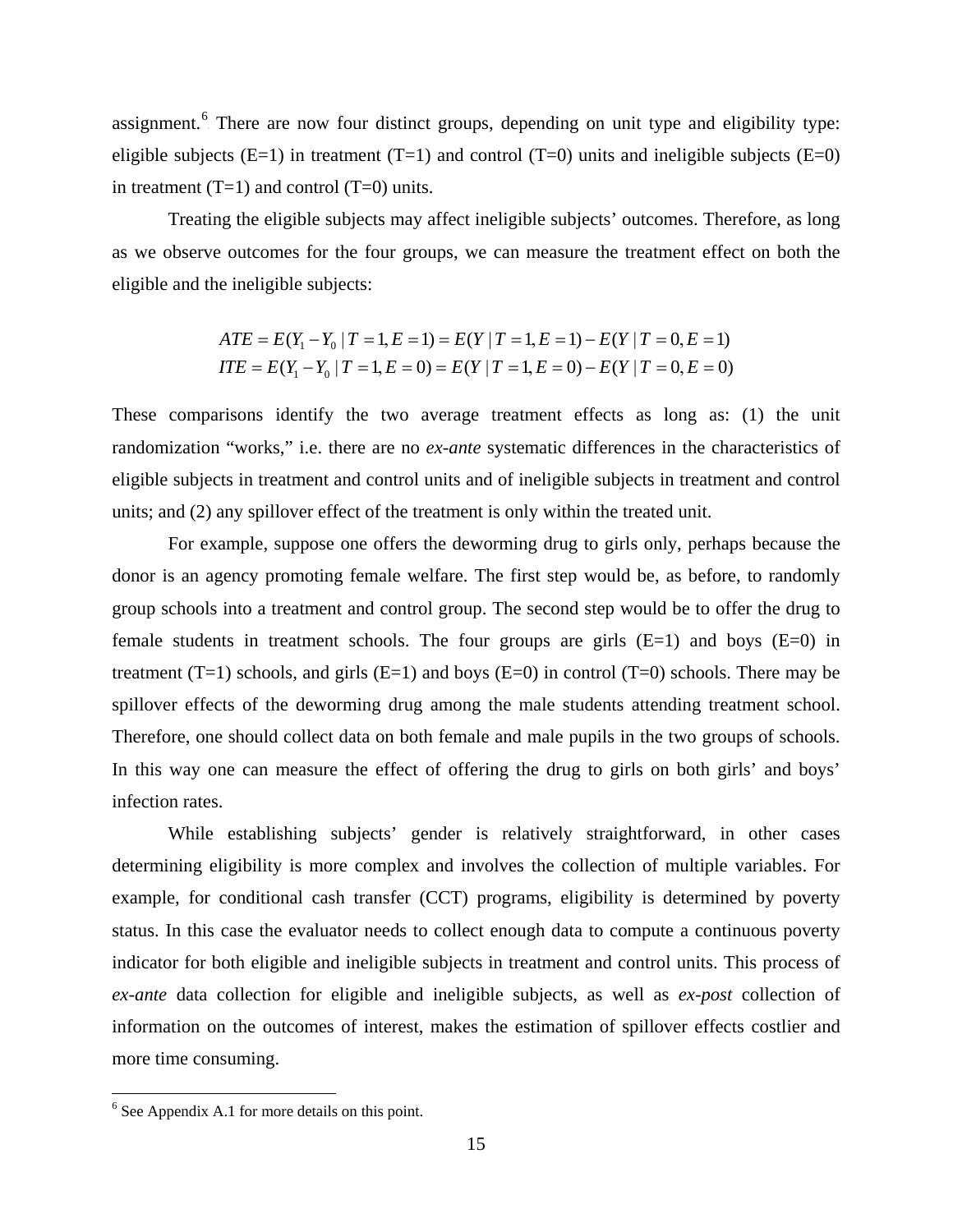assignment.<sup>6</sup> There are now four distinct groups, depending on unit type and eligibility type: eligible subjects ( $E=1$ ) in treatment (T=1) and control (T=0) units and ineligible subjects ( $E=0$ ) in treatment  $(T=1)$  and control  $(T=0)$  units.

Treating the eligible subjects may affect ineligible subjects' outcomes. Therefore, as long as we observe outcomes for the four groups, we can measure the treatment effect on both the eligible and the ineligible subjects:

$$
ATE = E(Y_1 - Y_0 | T = 1, E = 1) = E(Y | T = 1, E = 1) - E(Y | T = 0, E = 1)
$$
  
ITE = E(Y\_1 - Y\_0 | T = 1, E = 0) = E(Y | T = 1, E = 0) - E(Y | T = 0, E = 0)

These comparisons identify the two average treatment effects as long as: (1) the unit randomization "works," i.e. there are no *ex-ante* systematic differences in the characteristics of eligible subjects in treatment and control units and of ineligible subjects in treatment and control units; and (2) any spillover effect of the treatment is only within the treated unit.

For example, suppose one offers the deworming drug to girls only, perhaps because the donor is an agency promoting female welfare. The first step would be, as before, to randomly group schools into a treatment and control group. The second step would be to offer the drug to female students in treatment schools. The four groups are girls  $(E=1)$  and boys  $(E=0)$  in treatment  $(T=1)$  schools, and girls  $(E=1)$  and boys  $(E=0)$  in control  $(T=0)$  schools. There may be spillover effects of the deworming drug among the male students attending treatment school. Therefore, one should collect data on both female and male pupils in the two groups of schools. In this way one can measure the effect of offering the drug to girls on both girls' and boys' infection rates.

While establishing subjects' gender is relatively straightforward, in other cases determining eligibility is more complex and involves the collection of multiple variables. For example, for conditional cash transfer (CCT) programs, eligibility is determined by poverty status. In this case the evaluator needs to collect enough data to compute a continuous poverty indicator for both eligible and ineligible subjects in treatment and control units. This process of *ex-ante* data collection for eligible and ineligible subjects, as well as *ex-post* collection of information on the outcomes of interest, makes the estimation of spillover effects costlier and more time consuming.

<u>.</u>

<sup>&</sup>lt;sup>6</sup> See Appendix A.1 for more details on this point.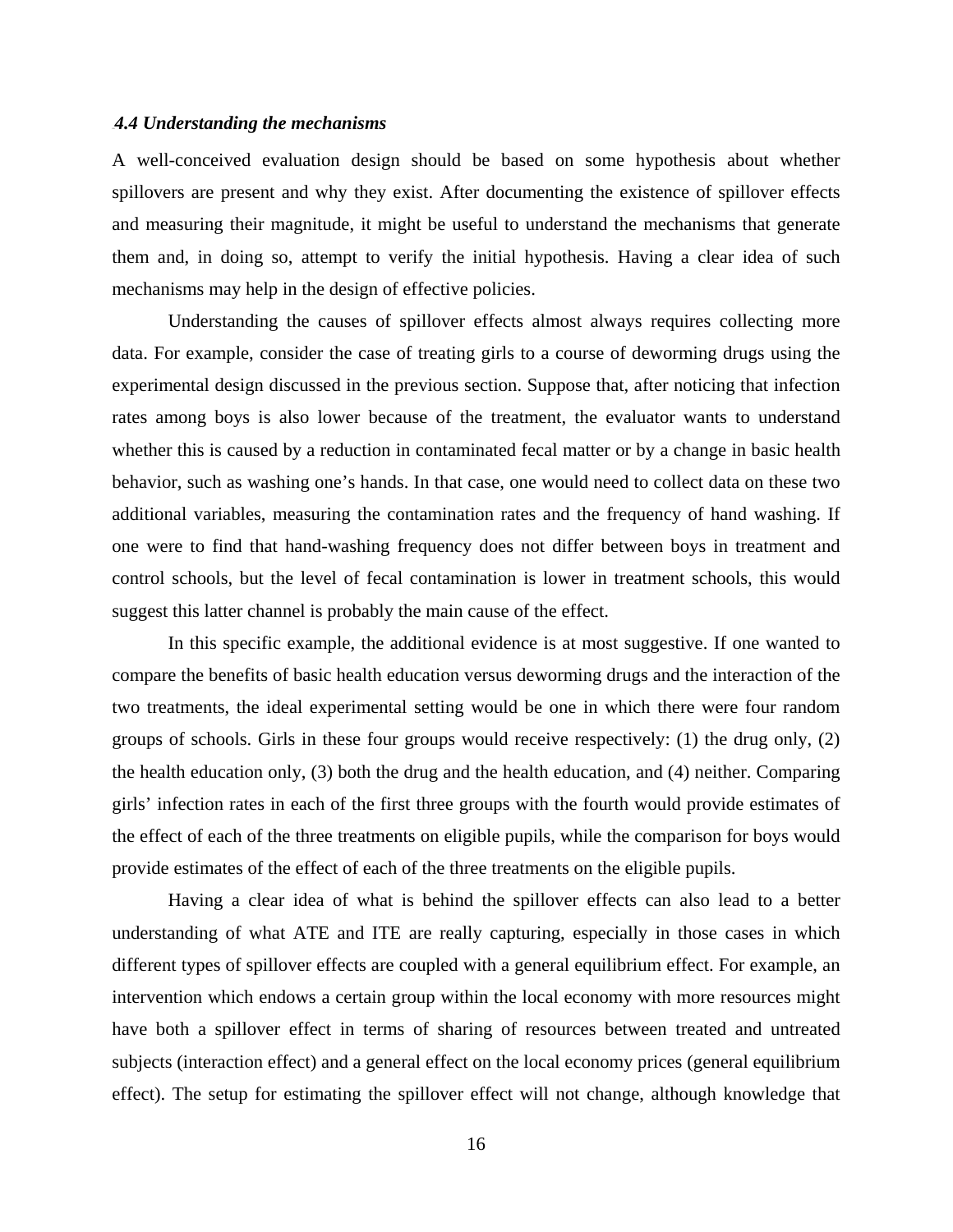#### 12B*4.4 Understanding the mechanisms*

A well-conceived evaluation design should be based on some hypothesis about whether spillovers are present and why they exist. After documenting the existence of spillover effects and measuring their magnitude, it might be useful to understand the mechanisms that generate them and, in doing so, attempt to verify the initial hypothesis. Having a clear idea of such mechanisms may help in the design of effective policies.

Understanding the causes of spillover effects almost always requires collecting more data. For example, consider the case of treating girls to a course of deworming drugs using the experimental design discussed in the previous section. Suppose that, after noticing that infection rates among boys is also lower because of the treatment, the evaluator wants to understand whether this is caused by a reduction in contaminated fecal matter or by a change in basic health behavior, such as washing one's hands. In that case, one would need to collect data on these two additional variables, measuring the contamination rates and the frequency of hand washing. If one were to find that hand-washing frequency does not differ between boys in treatment and control schools, but the level of fecal contamination is lower in treatment schools, this would suggest this latter channel is probably the main cause of the effect.

In this specific example, the additional evidence is at most suggestive. If one wanted to compare the benefits of basic health education versus deworming drugs and the interaction of the two treatments, the ideal experimental setting would be one in which there were four random groups of schools. Girls in these four groups would receive respectively: (1) the drug only, (2) the health education only, (3) both the drug and the health education, and (4) neither. Comparing girls' infection rates in each of the first three groups with the fourth would provide estimates of the effect of each of the three treatments on eligible pupils, while the comparison for boys would provide estimates of the effect of each of the three treatments on the eligible pupils.

Having a clear idea of what is behind the spillover effects can also lead to a better understanding of what ATE and ITE are really capturing, especially in those cases in which different types of spillover effects are coupled with a general equilibrium effect. For example, an intervention which endows a certain group within the local economy with more resources might have both a spillover effect in terms of sharing of resources between treated and untreated subjects (interaction effect) and a general effect on the local economy prices (general equilibrium effect). The setup for estimating the spillover effect will not change, although knowledge that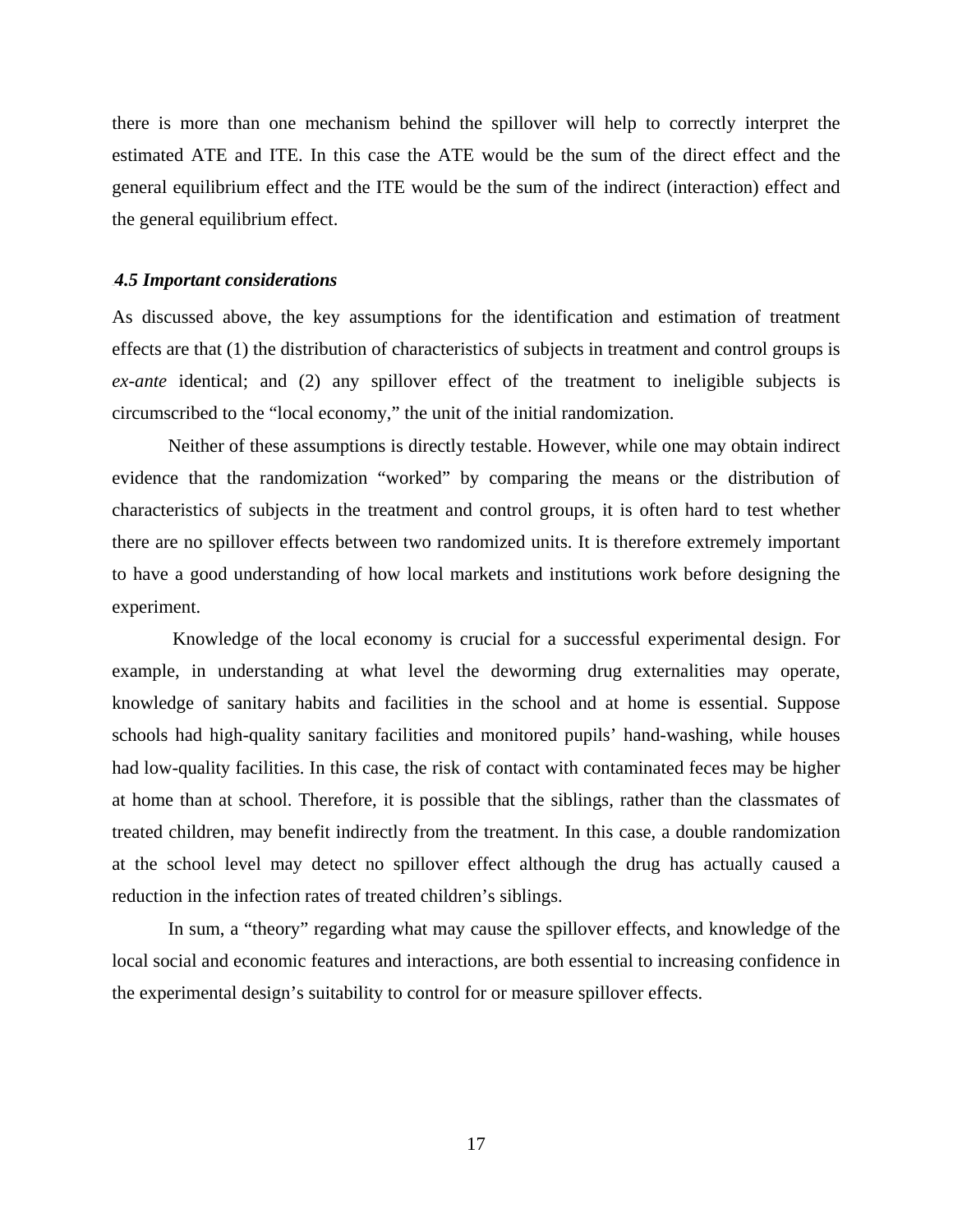there is more than one mechanism behind the spillover will help to correctly interpret the estimated ATE and ITE. In this case the ATE would be the sum of the direct effect and the general equilibrium effect and the ITE would be the sum of the indirect (interaction) effect and the general equilibrium effect.

#### 13B*4.5 Important considerations*

As discussed above, the key assumptions for the identification and estimation of treatment effects are that (1) the distribution of characteristics of subjects in treatment and control groups is *ex-ante* identical; and (2) any spillover effect of the treatment to ineligible subjects is circumscribed to the "local economy," the unit of the initial randomization.

Neither of these assumptions is directly testable. However, while one may obtain indirect evidence that the randomization "worked" by comparing the means or the distribution of characteristics of subjects in the treatment and control groups, it is often hard to test whether there are no spillover effects between two randomized units. It is therefore extremely important to have a good understanding of how local markets and institutions work before designing the experiment.

 Knowledge of the local economy is crucial for a successful experimental design. For example, in understanding at what level the deworming drug externalities may operate, knowledge of sanitary habits and facilities in the school and at home is essential. Suppose schools had high-quality sanitary facilities and monitored pupils' hand-washing, while houses had low-quality facilities. In this case, the risk of contact with contaminated feces may be higher at home than at school. Therefore, it is possible that the siblings, rather than the classmates of treated children, may benefit indirectly from the treatment. In this case, a double randomization at the school level may detect no spillover effect although the drug has actually caused a reduction in the infection rates of treated children's siblings.

In sum, a "theory" regarding what may cause the spillover effects, and knowledge of the local social and economic features and interactions, are both essential to increasing confidence in the experimental design's suitability to control for or measure spillover effects.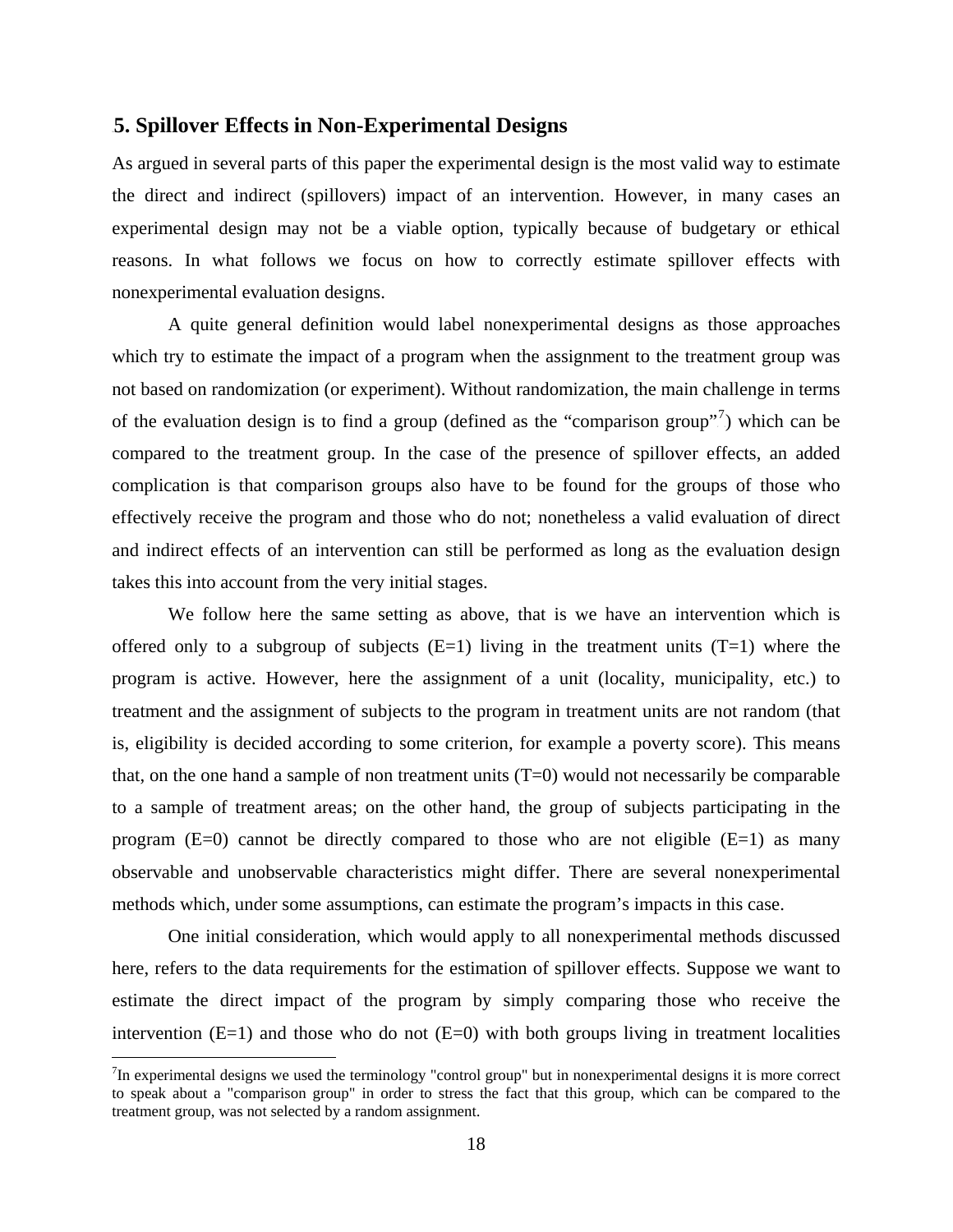#### **5. Spillover Effects in Non-Experimental Designs**

As argued in several parts of this paper the experimental design is the most valid way to estimate the direct and indirect (spillovers) impact of an intervention. However, in many cases an experimental design may not be a viable option, typically because of budgetary or ethical reasons. In what follows we focus on how to correctly estimate spillover effects with nonexperimental evaluation designs.

A quite general definition would label nonexperimental designs as those approaches which try to estimate the impact of a program when the assignment to the treatment group was not based on randomization (or experiment). Without randomization, the main challenge in terms of the evaluation design is to find a group (defined as the "comparison group"<sup>7</sup>) which can be compared to the treatment group. In the case of the presence of spillover effects, an added complication is that comparison groups also have to be found for the groups of those who effectively receive the program and those who do not; nonetheless a valid evaluation of direct and indirect effects of an intervention can still be performed as long as the evaluation design takes this into account from the very initial stages.

We follow here the same setting as above, that is we have an intervention which is offered only to a subgroup of subjects  $(E=1)$  living in the treatment units  $(T=1)$  where the program is active. However, here the assignment of a unit (locality, municipality, etc.) to treatment and the assignment of subjects to the program in treatment units are not random (that is, eligibility is decided according to some criterion, for example a poverty score). This means that, on the one hand a sample of non treatment units  $(T=0)$  would not necessarily be comparable to a sample of treatment areas; on the other hand, the group of subjects participating in the program  $(E=0)$  cannot be directly compared to those who are not eligible  $(E=1)$  as many observable and unobservable characteristics might differ. There are several nonexperimental methods which, under some assumptions, can estimate the program's impacts in this case.

One initial consideration, which would apply to all nonexperimental methods discussed here, refers to the data requirements for the estimation of spillover effects. Suppose we want to estimate the direct impact of the program by simply comparing those who receive the intervention  $(E=1)$  and those who do not  $(E=0)$  with both groups living in treatment localities

 $7$ In experimental designs we used the terminology "control group" but in nonexperimental designs it is more correct to speak about a "comparison group" in order to stress the fact that this group, which can be compared to the treatment group, was not selected by a random assignment.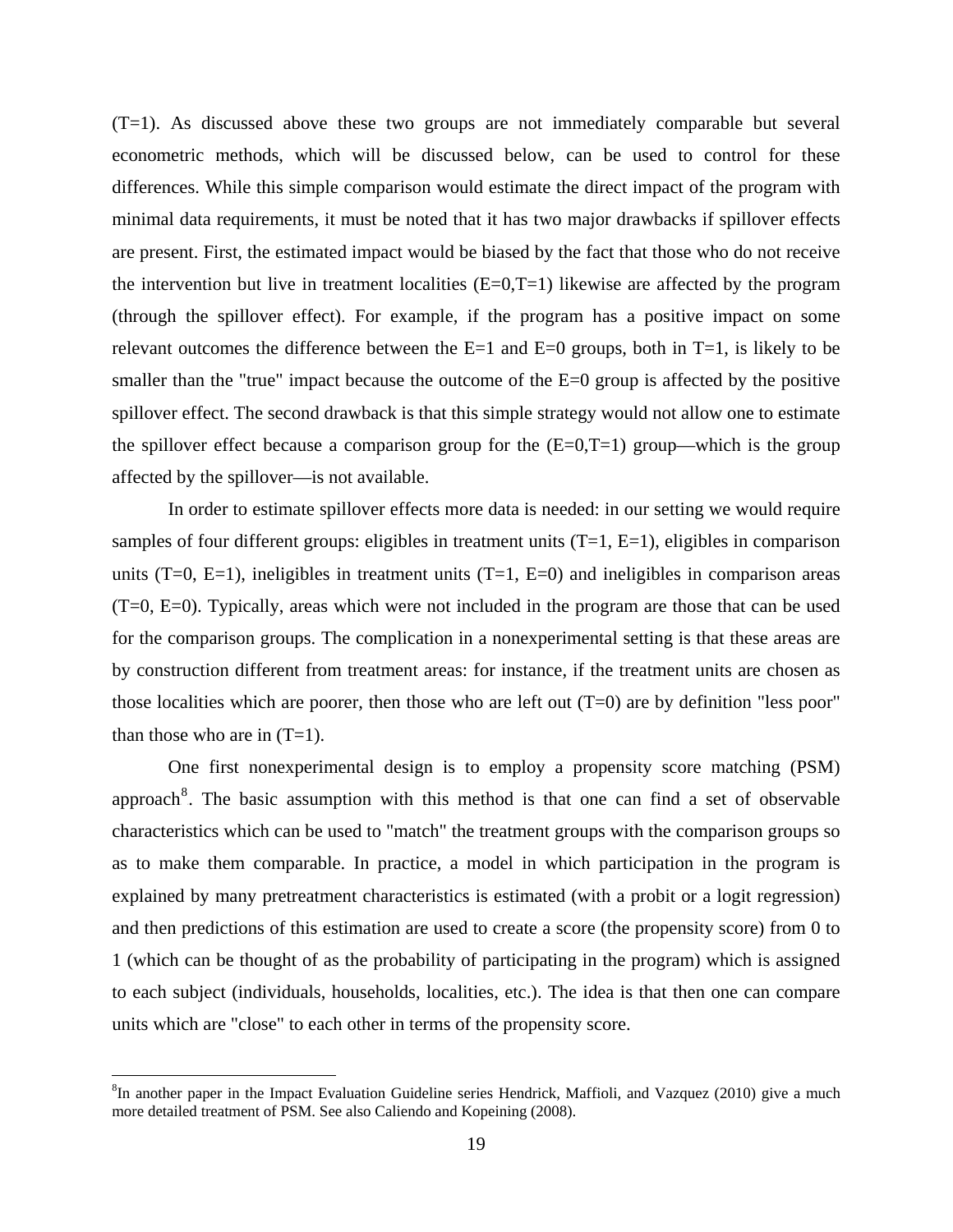(T=1). As discussed above these two groups are not immediately comparable but several econometric methods, which will be discussed below, can be used to control for these differences. While this simple comparison would estimate the direct impact of the program with minimal data requirements, it must be noted that it has two major drawbacks if spillover effects are present. First, the estimated impact would be biased by the fact that those who do not receive the intervention but live in treatment localities  $(E=0,T=1)$  likewise are affected by the program (through the spillover effect). For example, if the program has a positive impact on some relevant outcomes the difference between the  $E=1$  and  $E=0$  groups, both in  $T=1$ , is likely to be smaller than the "true" impact because the outcome of the E=0 group is affected by the positive spillover effect. The second drawback is that this simple strategy would not allow one to estimate the spillover effect because a comparison group for the  $(E=0,T=1)$  group—which is the group affected by the spillover—is not available.

In order to estimate spillover effects more data is needed: in our setting we would require samples of four different groups: eligibles in treatment units  $(T=1, E=1)$ , eligibles in comparison units  $(T=0, E=1)$ , ineligibles in treatment units  $(T=1, E=0)$  and ineligibles in comparison areas (T=0, E=0). Typically, areas which were not included in the program are those that can be used for the comparison groups. The complication in a nonexperimental setting is that these areas are by construction different from treatment areas: for instance, if the treatment units are chosen as those localities which are poorer, then those who are left out  $(T=0)$  are by definition "less poor" than those who are in  $(T=1)$ .

One first nonexperimental design is to employ a propensity score matching (PSM) approach<sup>8</sup>. The basic assumption with this method is that one can find a set of observable characteristics which can be used to "match" the treatment groups with the comparison groups so as to make them comparable. In practice, a model in which participation in the program is explained by many pretreatment characteristics is estimated (with a probit or a logit regression) and then predictions of this estimation are used to create a score (the propensity score) from 0 to 1 (which can be thought of as the probability of participating in the program) which is assigned to each subject (individuals, households, localities, etc.). The idea is that then one can compare units which are "close" to each other in terms of the propensity score.

<sup>&</sup>lt;sup>8</sup>In another paper in the Impact Evaluation Guideline series Hendrick, Maffioli, and Vazquez (2010) give a much more detailed treatment of PSM. See also Caliendo and Kopeining (2008).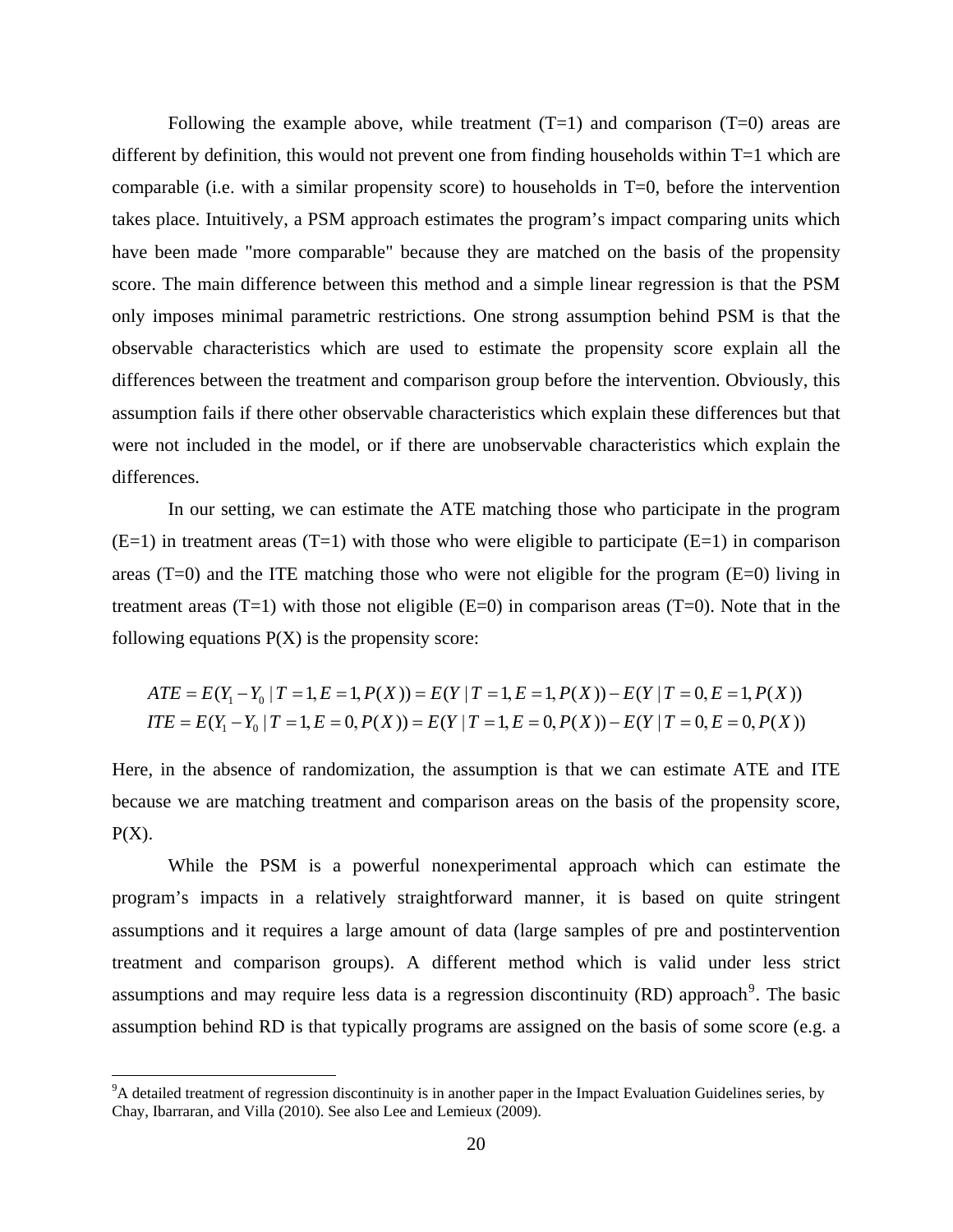Following the example above, while treatment  $(T=1)$  and comparison  $(T=0)$  areas are different by definition, this would not prevent one from finding households within  $T=1$  which are comparable (i.e. with a similar propensity score) to households in T=0, before the intervention takes place. Intuitively, a PSM approach estimates the program's impact comparing units which have been made "more comparable" because they are matched on the basis of the propensity score. The main difference between this method and a simple linear regression is that the PSM only imposes minimal parametric restrictions. One strong assumption behind PSM is that the observable characteristics which are used to estimate the propensity score explain all the differences between the treatment and comparison group before the intervention. Obviously, this assumption fails if there other observable characteristics which explain these differences but that were not included in the model, or if there are unobservable characteristics which explain the differences.

In our setting, we can estimate the ATE matching those who participate in the program  $(E=1)$  in treatment areas  $(T=1)$  with those who were eligible to participate  $(E=1)$  in comparison areas  $(T=0)$  and the ITE matching those who were not eligible for the program  $(E=0)$  living in treatment areas (T=1) with those not eligible  $(E=0)$  in comparison areas (T=0). Note that in the following equations  $P(X)$  is the propensity score:

$$
ATE = E(Y_1 - Y_0 | T = 1, E = 1, P(X)) = E(Y | T = 1, E = 1, P(X)) - E(Y | T = 0, E = 1, P(X))
$$
  
ITE = E(Y\_1 - Y\_0 | T = 1, E = 0, P(X)) = E(Y | T = 1, E = 0, P(X)) - E(Y | T = 0, E = 0, P(X))

Here, in the absence of randomization, the assumption is that we can estimate ATE and ITE because we are matching treatment and comparison areas on the basis of the propensity score,  $P(X)$ .

While the PSM is a powerful nonexperimental approach which can estimate the program's impacts in a relatively straightforward manner, it is based on quite stringent assumptions and it requires a large amount of data (large samples of pre and postintervention treatment and comparison groups). A different method which is valid under less strict assumptions and may require less data is a regression discontinuity (RD) approach<sup>9</sup>. The basic assumption behind RD is that typically programs are assigned on the basis of some score (e.g. a

1

<sup>&</sup>lt;sup>9</sup>A detailed treatment of regression discontinuity is in another paper in the Impact Evaluation Guidelines series, by Chay, Ibarraran, and Villa (2010). See also Lee and Lemieux (2009).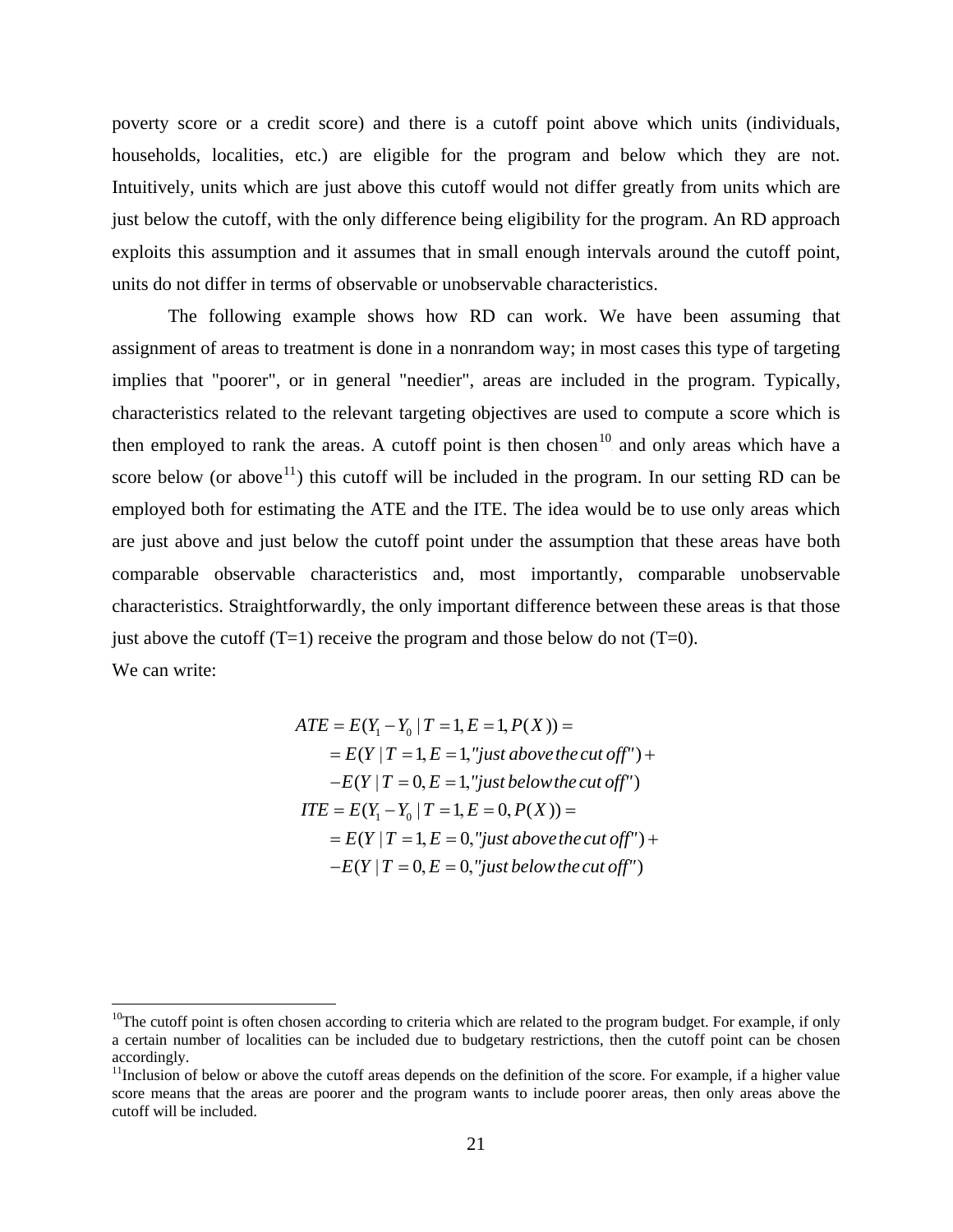poverty score or a credit score) and there is a cutoff point above which units (individuals, households, localities, etc.) are eligible for the program and below which they are not. Intuitively, units which are just above this cutoff would not differ greatly from units which are just below the cutoff, with the only difference being eligibility for the program. An RD approach exploits this assumption and it assumes that in small enough intervals around the cutoff point, units do not differ in terms of observable or unobservable characteristics.

The following example shows how RD can work. We have been assuming that assignment of areas to treatment is done in a nonrandom way; in most cases this type of targeting implies that "poorer", or in general "needier", areas are included in the program. Typically, characteristics related to the relevant targeting objectives are used to compute a score which is then employed to rank the areas. A cutoff point is then chosen<sup>10</sup> and only areas which have a score below (or above  $1$ <sup>1</sup>) this cutoff will be included in the program. In our setting RD can be employed both for estimating the ATE and the ITE. The idea would be to use only areas which are just above and just below the cutoff point under the assumption that these areas have both comparable observable characteristics and, most importantly, comparable unobservable characteristics. Straightforwardly, the only important difference between these areas is that those just above the cutoff  $(T=1)$  receive the program and those below do not  $(T=0)$ . We can write:

$$
ATE = E(Y_1 - Y_0 | T = 1, E = 1, P(X)) =
$$
  
=  $E(Y | T = 1, E = 1, "just above the cut off") +$   
 $-E(Y | T = 0, E = 1, "just below the cut off")$   

$$
ITE = E(Y_1 - Y_0 | T = 1, E = 0, P(X)) =
$$
  
=  $E(Y | T = 1, E = 0, "just above the cut off") +$   
 $-E(Y | T = 0, E = 0, "just below the cut off")$ 

1

 $10$ The cutoff point is often chosen according to criteria which are related to the program budget. For example, if only a certain number of localities can be included due to budgetary restrictions, then the cutoff point can be chosen accordingly.

<sup>&</sup>lt;sup>11</sup>Inclusion of below or above the cutoff areas depends on the definition of the score. For example, if a higher value score means that the areas are poorer and the program wants to include poorer areas, then only areas above the cutoff will be included.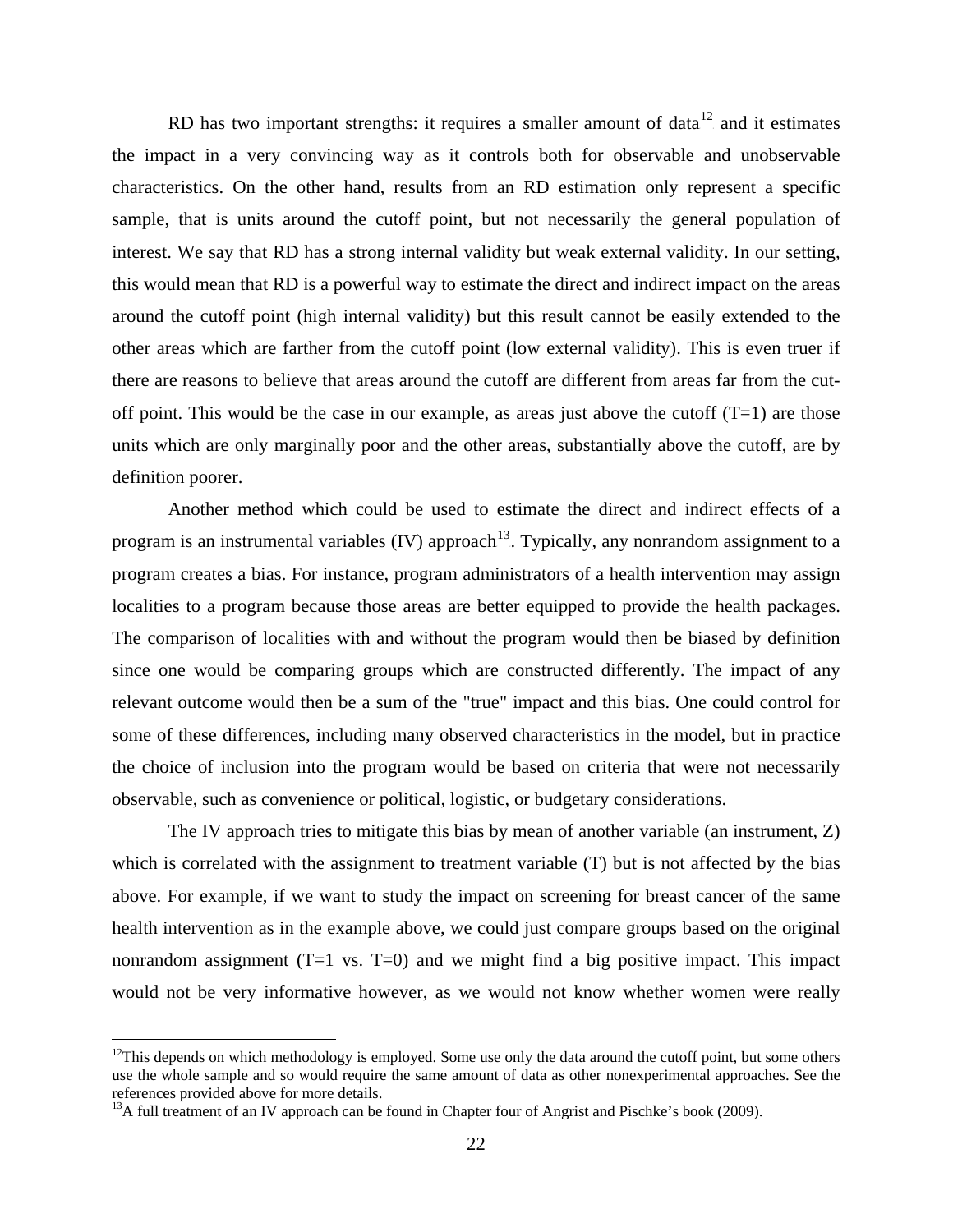RD has two important strengths: it requires a smaller amount of data $12$  and it estimates the impact in a very convincing way as it controls both for observable and unobservable characteristics. On the other hand, results from an RD estimation only represent a specific sample, that is units around the cutoff point, but not necessarily the general population of interest. We say that RD has a strong internal validity but weak external validity. In our setting, this would mean that RD is a powerful way to estimate the direct and indirect impact on the areas around the cutoff point (high internal validity) but this result cannot be easily extended to the other areas which are farther from the cutoff point (low external validity). This is even truer if there are reasons to believe that areas around the cutoff are different from areas far from the cutoff point. This would be the case in our example, as areas just above the cutoff  $(T=1)$  are those units which are only marginally poor and the other areas, substantially above the cutoff, are by definition poorer.

Another method which could be used to estimate the direct and indirect effects of a program is an instrumental variables (IV) approach<sup>13</sup>. Typically, any nonrandom assignment to a program creates a bias. For instance, program administrators of a health intervention may assign localities to a program because those areas are better equipped to provide the health packages. The comparison of localities with and without the program would then be biased by definition since one would be comparing groups which are constructed differently. The impact of any relevant outcome would then be a sum of the "true" impact and this bias. One could control for some of these differences, including many observed characteristics in the model, but in practice the choice of inclusion into the program would be based on criteria that were not necessarily observable, such as convenience or political, logistic, or budgetary considerations.

The IV approach tries to mitigate this bias by mean of another variable (an instrument, Z) which is correlated with the assignment to treatment variable (T) but is not affected by the bias above. For example, if we want to study the impact on screening for breast cancer of the same health intervention as in the example above, we could just compare groups based on the original nonrandom assignment  $(T=1 \text{ vs. } T=0)$  and we might find a big positive impact. This impact would not be very informative however, as we would not know whether women were really

 $12$ This depends on which methodology is employed. Some use only the data around the cutoff point, but some others use the whole sample and so would require the same amount of data as other nonexperimental approaches. See the references provided above for more details.

<sup>&</sup>lt;sup>13</sup>A full treatment of an IV approach can be found in Chapter four of Angrist and Pischke's book (2009).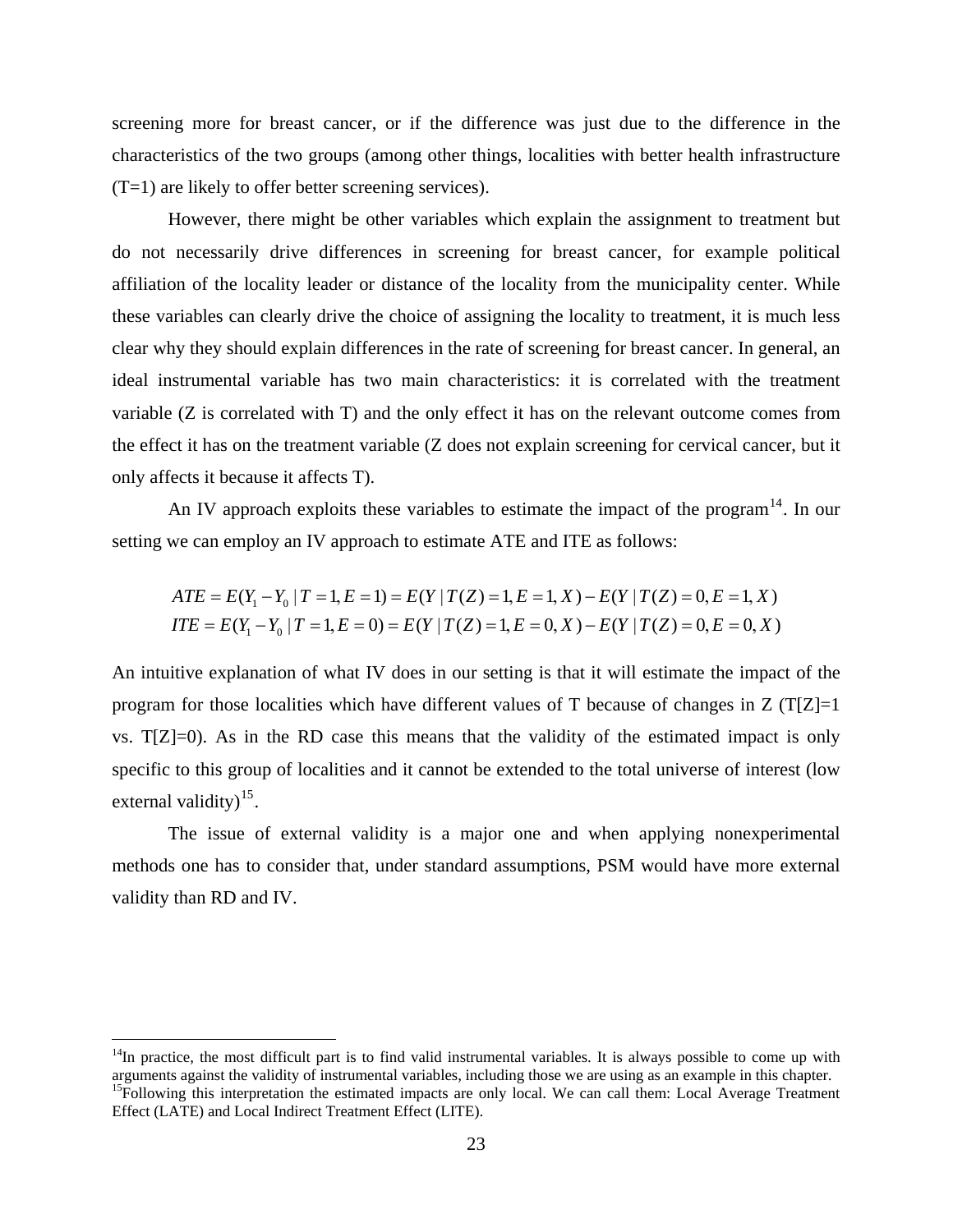screening more for breast cancer, or if the difference was just due to the difference in the characteristics of the two groups (among other things, localities with better health infrastructure (T=1) are likely to offer better screening services).

However, there might be other variables which explain the assignment to treatment but do not necessarily drive differences in screening for breast cancer, for example political affiliation of the locality leader or distance of the locality from the municipality center. While these variables can clearly drive the choice of assigning the locality to treatment, it is much less clear why they should explain differences in the rate of screening for breast cancer. In general, an ideal instrumental variable has two main characteristics: it is correlated with the treatment variable (Z is correlated with T) and the only effect it has on the relevant outcome comes from the effect it has on the treatment variable (Z does not explain screening for cervical cancer, but it only affects it because it affects T).

An IV approach exploits these variables to estimate the impact of the program $^{14}$ . In our setting we can employ an IV approach to estimate ATE and ITE as follows:

$$
ATE = E(Y_1 - Y_0 | T = 1, E = 1) = E(Y | T(Z) = 1, E = 1, X) - E(Y | T(Z) = 0, E = 1, X)
$$
  
ITE = E(Y\_1 - Y\_0 | T = 1, E = 0) = E(Y | T(Z) = 1, E = 0, X) - E(Y | T(Z) = 0, E = 0, X)

An intuitive explanation of what IV does in our setting is that it will estimate the impact of the program for those localities which have different values of T because of changes in  $Z(T|Z)=1$ vs. T[Z]=0). As in the RD case this means that the validity of the estimated impact is only specific to this group of localities and it cannot be extended to the total universe of interest (low external validity) $^{15}$ .

The issue of external validity is a major one and when applying nonexperimental methods one has to consider that, under standard assumptions, PSM would have more external validity than RD and IV.

 $14$ In practice, the most difficult part is to find valid instrumental variables. It is always possible to come up with arguments against the validity of instrumental variables, including those we are using as an example in this chapter. <sup>15</sup>Following this interpretation the estimated impacts are only local. We can call them: Local Average Treatment Effect (LATE) and Local Indirect Treatment Effect (LITE).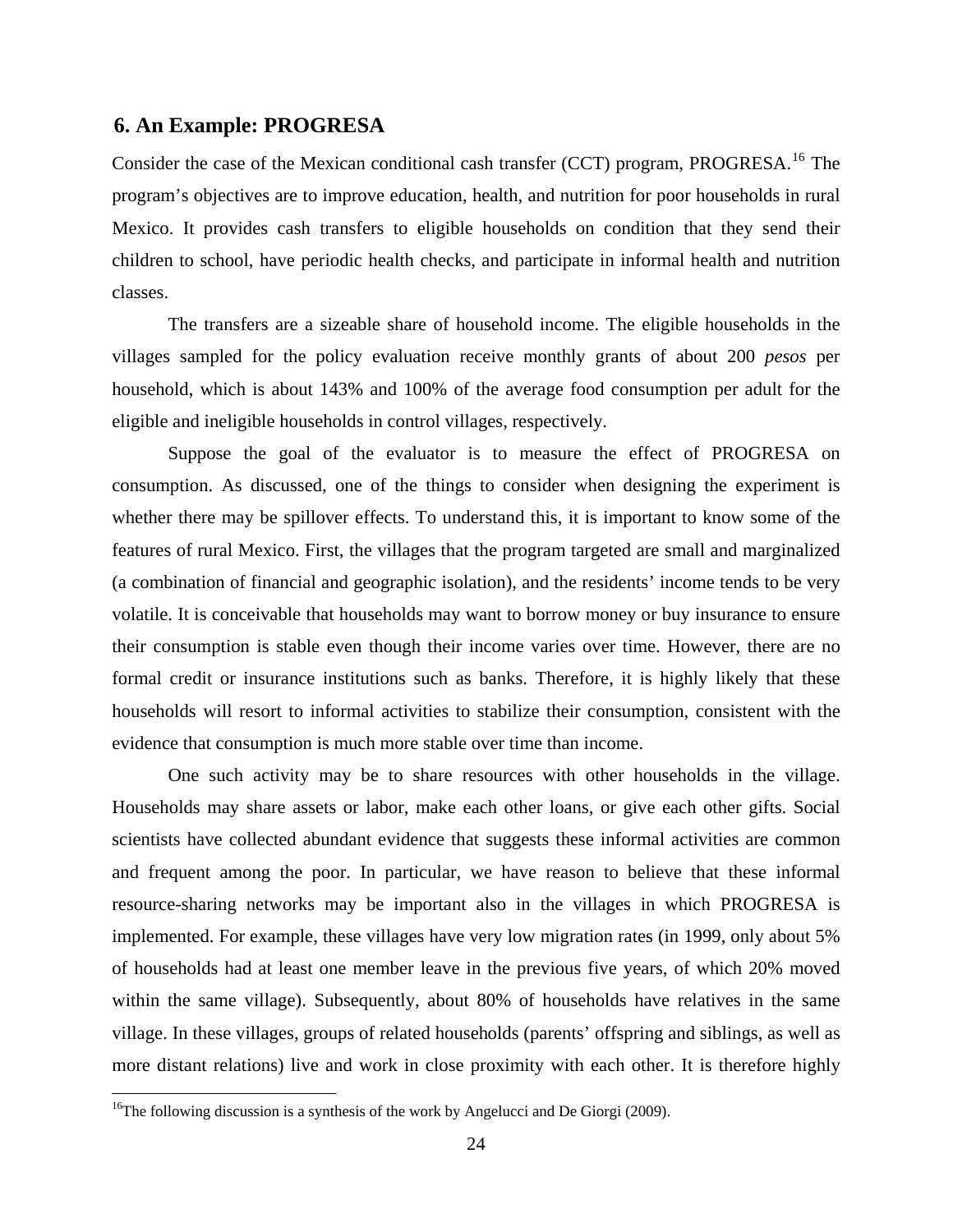#### 6B**6. An Example: PROGRESA**

Consider the case of the Mexican conditional cash transfer (CCT) program, PROGRESA.<sup>16</sup> The program's objectives are to improve education, health, and nutrition for poor households in rural Mexico. It provides cash transfers to eligible households on condition that they send their children to school, have periodic health checks, and participate in informal health and nutrition classes.

The transfers are a sizeable share of household income. The eligible households in the villages sampled for the policy evaluation receive monthly grants of about 200 *pesos* per household, which is about 143% and 100% of the average food consumption per adult for the eligible and ineligible households in control villages, respectively.

Suppose the goal of the evaluator is to measure the effect of PROGRESA on consumption. As discussed, one of the things to consider when designing the experiment is whether there may be spillover effects. To understand this, it is important to know some of the features of rural Mexico. First, the villages that the program targeted are small and marginalized (a combination of financial and geographic isolation), and the residents' income tends to be very volatile. It is conceivable that households may want to borrow money or buy insurance to ensure their consumption is stable even though their income varies over time. However, there are no formal credit or insurance institutions such as banks. Therefore, it is highly likely that these households will resort to informal activities to stabilize their consumption, consistent with the evidence that consumption is much more stable over time than income.

One such activity may be to share resources with other households in the village. Households may share assets or labor, make each other loans, or give each other gifts. Social scientists have collected abundant evidence that suggests these informal activities are common and frequent among the poor. In particular, we have reason to believe that these informal resource-sharing networks may be important also in the villages in which PROGRESA is implemented. For example, these villages have very low migration rates (in 1999, only about 5% of households had at least one member leave in the previous five years, of which 20% moved within the same village). Subsequently, about 80% of households have relatives in the same village. In these villages, groups of related households (parents' offspring and siblings, as well as more distant relations) live and work in close proximity with each other. It is therefore highly

<sup>&</sup>lt;sup>16</sup>The following discussion is a synthesis of the work by Angelucci and De Giorgi (2009).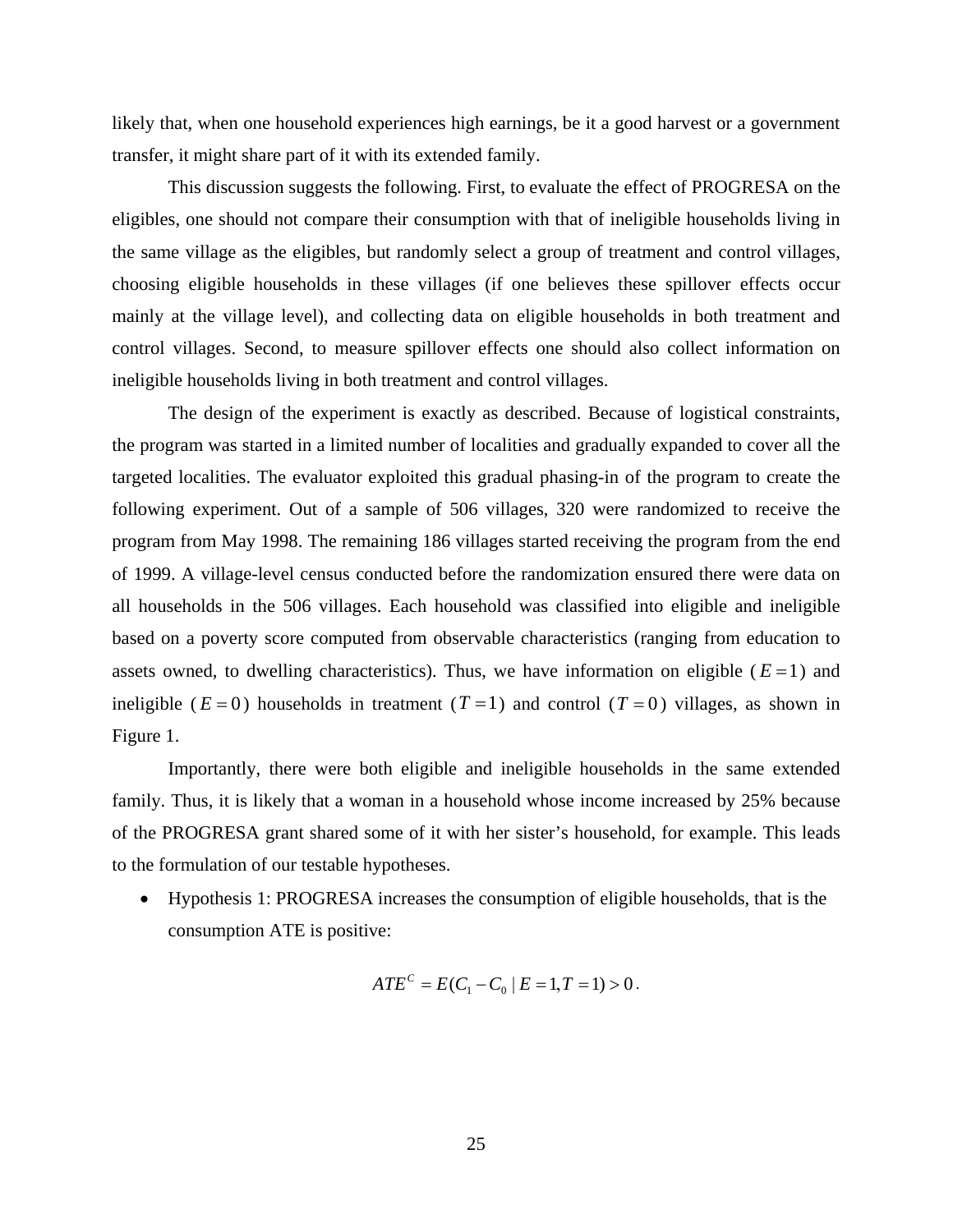likely that, when one household experiences high earnings, be it a good harvest or a government transfer, it might share part of it with its extended family.

This discussion suggests the following. First, to evaluate the effect of PROGRESA on the eligibles, one should not compare their consumption with that of ineligible households living in the same village as the eligibles, but randomly select a group of treatment and control villages, choosing eligible households in these villages (if one believes these spillover effects occur mainly at the village level), and collecting data on eligible households in both treatment and control villages. Second, to measure spillover effects one should also collect information on ineligible households living in both treatment and control villages.

The design of the experiment is exactly as described. Because of logistical constraints, the program was started in a limited number of localities and gradually expanded to cover all the targeted localities. The evaluator exploited this gradual phasing-in of the program to create the following experiment. Out of a sample of 506 villages, 320 were randomized to receive the program from May 1998. The remaining 186 villages started receiving the program from the end of 1999. A village-level census conducted before the randomization ensured there were data on all households in the 506 villages. Each household was classified into eligible and ineligible based on a poverty score computed from observable characteristics (ranging from education to assets owned, to dwelling characteristics). Thus, we have information on eligible ( $E=1$ ) and ineligible ( $E = 0$ ) households in treatment ( $T = 1$ ) and control ( $T = 0$ ) villages, as shown in Figure 1.

Importantly, there were both eligible and ineligible households in the same extended family. Thus, it is likely that a woman in a household whose income increased by 25% because of the PROGRESA grant shared some of it with her sister's household, for example. This leads to the formulation of our testable hypotheses.

• Hypothesis 1: PROGRESA increases the consumption of eligible households, that is the consumption ATE is positive:

$$
ATE^{C} = E(C_1 - C_0 | E = 1, T = 1) > 0.
$$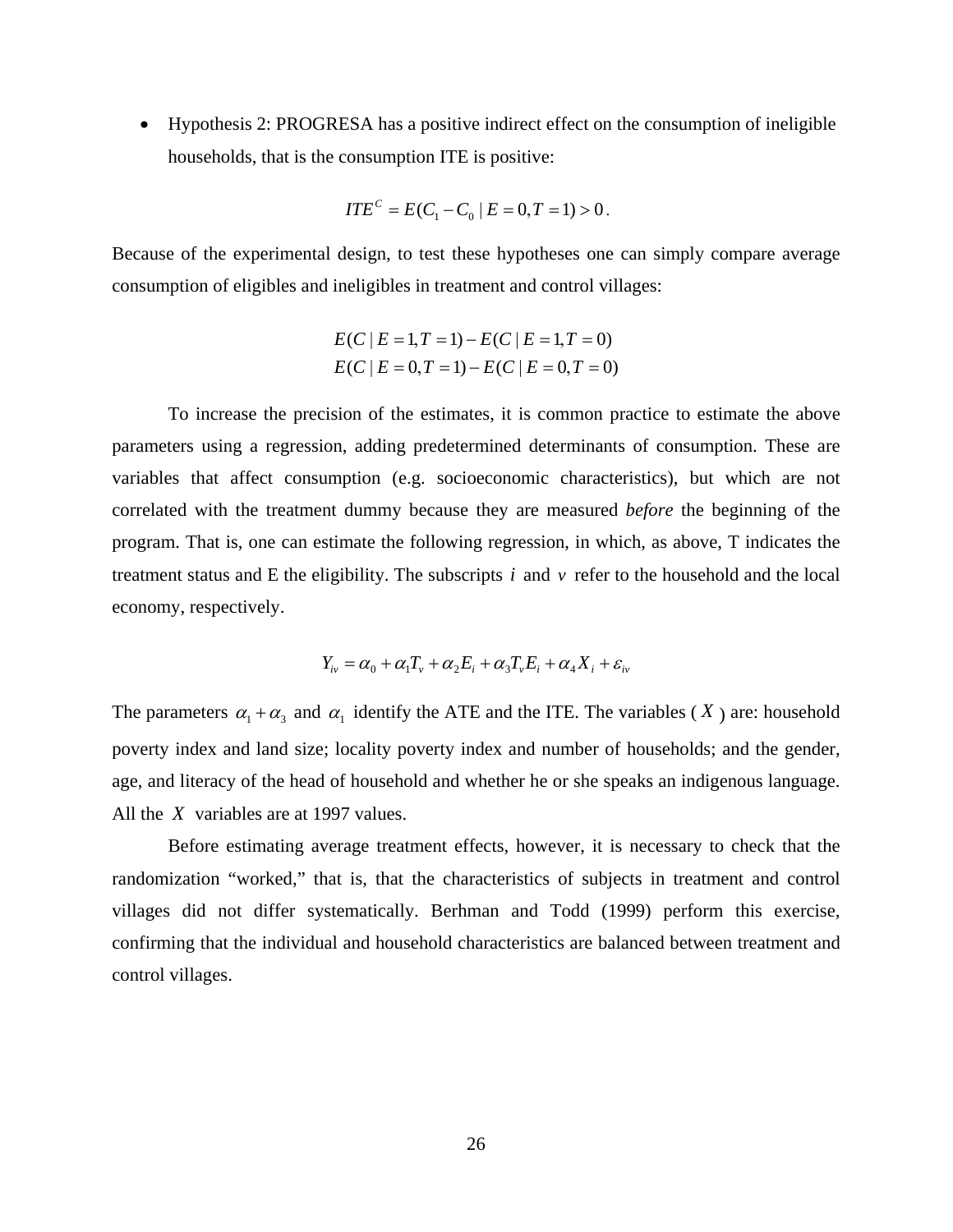• Hypothesis 2: PROGRESA has a positive indirect effect on the consumption of ineligible households, that is the consumption ITE is positive:

$$
ITE^{c} = E(C_1 - C_0 | E = 0, T = 1) > 0.
$$

Because of the experimental design, to test these hypotheses one can simply compare average consumption of eligibles and ineligibles in treatment and control villages:

$$
E(C | E = 1, T = 1) - E(C | E = 1, T = 0)
$$
  

$$
E(C | E = 0, T = 1) - E(C | E = 0, T = 0)
$$

To increase the precision of the estimates, it is common practice to estimate the above parameters using a regression, adding predetermined determinants of consumption. These are variables that affect consumption (e.g. socioeconomic characteristics), but which are not correlated with the treatment dummy because they are measured *before* the beginning of the program. That is, one can estimate the following regression, in which, as above, T indicates the treatment status and E the eligibility. The subscripts  $i$  and  $v$  refer to the household and the local economy, respectively.

$$
Y_{iv} = \alpha_0 + \alpha_1 T_v + \alpha_2 E_i + \alpha_3 T_v E_i + \alpha_4 X_i + \varepsilon_{iv}
$$

The parameters  $\alpha_1 + \alpha_3$  and  $\alpha_1$  identify the ATE and the ITE. The variables (X) are: household poverty index and land size; locality poverty index and number of households; and the gender, age, and literacy of the head of household and whether he or she speaks an indigenous language. All the  $X$  variables are at 1997 values.

Before estimating average treatment effects, however, it is necessary to check that the randomization "worked," that is, that the characteristics of subjects in treatment and control villages did not differ systematically. Berhman and Todd (1999) perform this exercise, confirming that the individual and household characteristics are balanced between treatment and control villages.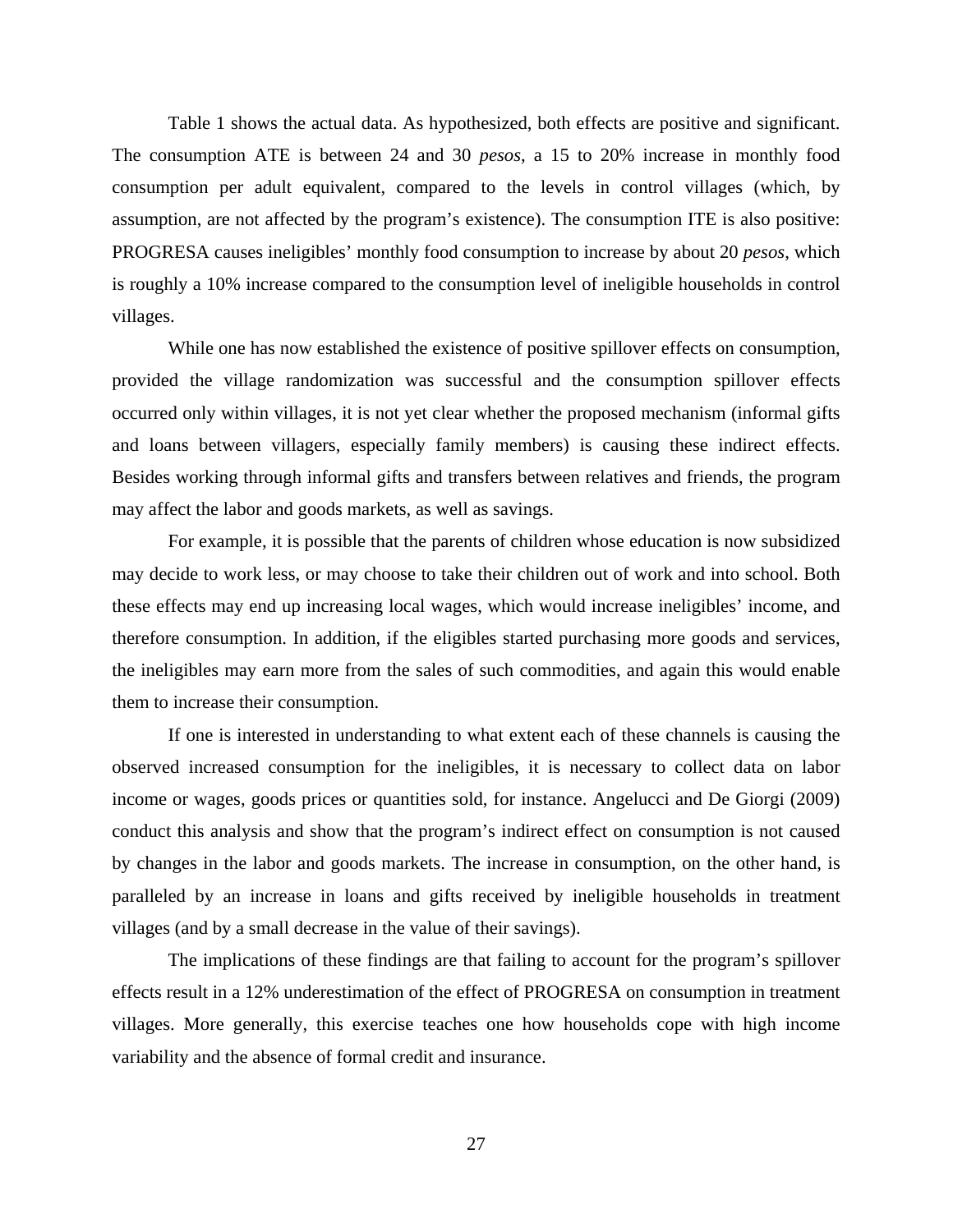Table 1 shows the actual data. As hypothesized, both effects are positive and significant. The consumption ATE is between 24 and 30 *pesos*, a 15 to 20% increase in monthly food consumption per adult equivalent, compared to the levels in control villages (which, by assumption, are not affected by the program's existence). The consumption ITE is also positive: PROGRESA causes ineligibles' monthly food consumption to increase by about 20 *pesos*, which is roughly a 10% increase compared to the consumption level of ineligible households in control villages.

While one has now established the existence of positive spillover effects on consumption, provided the village randomization was successful and the consumption spillover effects occurred only within villages, it is not yet clear whether the proposed mechanism (informal gifts and loans between villagers, especially family members) is causing these indirect effects. Besides working through informal gifts and transfers between relatives and friends, the program may affect the labor and goods markets, as well as savings.

For example, it is possible that the parents of children whose education is now subsidized may decide to work less, or may choose to take their children out of work and into school. Both these effects may end up increasing local wages, which would increase ineligibles' income, and therefore consumption. In addition, if the eligibles started purchasing more goods and services, the ineligibles may earn more from the sales of such commodities, and again this would enable them to increase their consumption.

If one is interested in understanding to what extent each of these channels is causing the observed increased consumption for the ineligibles, it is necessary to collect data on labor income or wages, goods prices or quantities sold, for instance. Angelucci and De Giorgi (2009) conduct this analysis and show that the program's indirect effect on consumption is not caused by changes in the labor and goods markets. The increase in consumption, on the other hand, is paralleled by an increase in loans and gifts received by ineligible households in treatment villages (and by a small decrease in the value of their savings).

The implications of these findings are that failing to account for the program's spillover effects result in a 12% underestimation of the effect of PROGRESA on consumption in treatment villages. More generally, this exercise teaches one how households cope with high income variability and the absence of formal credit and insurance.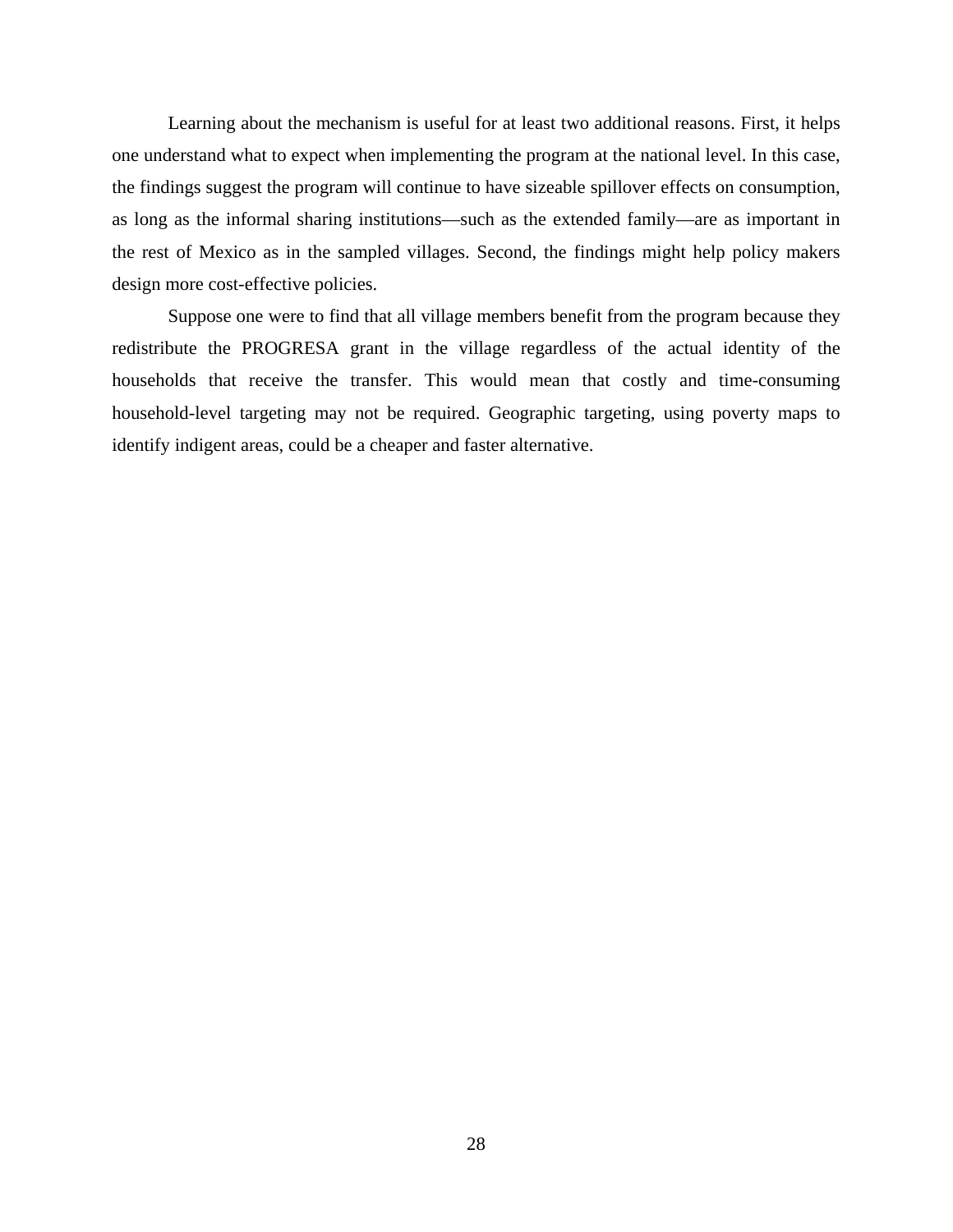Learning about the mechanism is useful for at least two additional reasons. First, it helps one understand what to expect when implementing the program at the national level. In this case, the findings suggest the program will continue to have sizeable spillover effects on consumption, as long as the informal sharing institutions—such as the extended family—are as important in the rest of Mexico as in the sampled villages. Second, the findings might help policy makers design more cost-effective policies.

Suppose one were to find that all village members benefit from the program because they redistribute the PROGRESA grant in the village regardless of the actual identity of the households that receive the transfer. This would mean that costly and time-consuming household-level targeting may not be required. Geographic targeting, using poverty maps to identify indigent areas, could be a cheaper and faster alternative.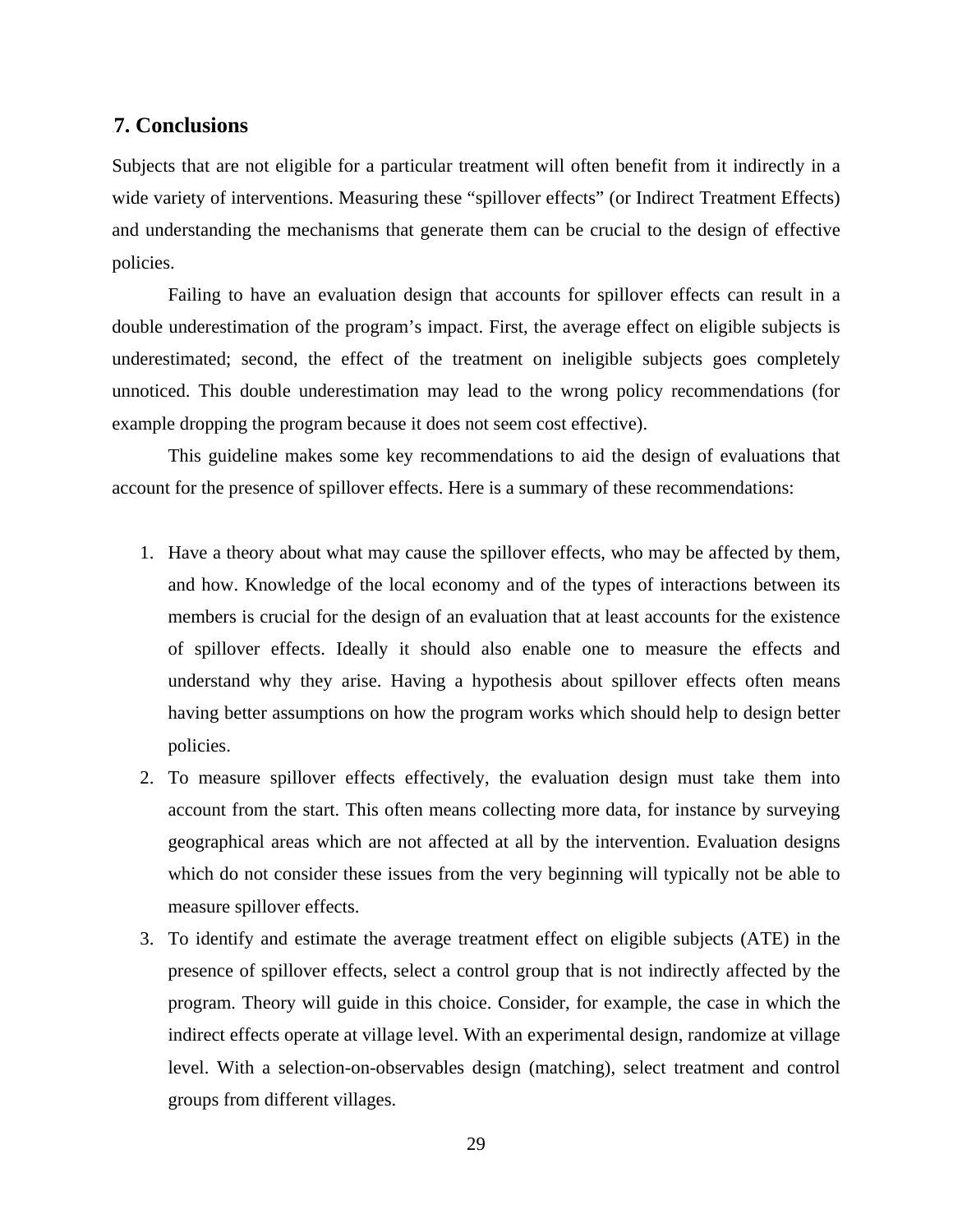#### 7B**7. Conclusions**

Subjects that are not eligible for a particular treatment will often benefit from it indirectly in a wide variety of interventions. Measuring these "spillover effects" (or Indirect Treatment Effects) and understanding the mechanisms that generate them can be crucial to the design of effective policies.

 Failing to have an evaluation design that accounts for spillover effects can result in a double underestimation of the program's impact. First, the average effect on eligible subjects is underestimated; second, the effect of the treatment on ineligible subjects goes completely unnoticed. This double underestimation may lead to the wrong policy recommendations (for example dropping the program because it does not seem cost effective).

This guideline makes some key recommendations to aid the design of evaluations that account for the presence of spillover effects. Here is a summary of these recommendations:

- 1. Have a theory about what may cause the spillover effects, who may be affected by them, and how. Knowledge of the local economy and of the types of interactions between its members is crucial for the design of an evaluation that at least accounts for the existence of spillover effects. Ideally it should also enable one to measure the effects and understand why they arise. Having a hypothesis about spillover effects often means having better assumptions on how the program works which should help to design better policies.
- 2. To measure spillover effects effectively, the evaluation design must take them into account from the start. This often means collecting more data, for instance by surveying geographical areas which are not affected at all by the intervention. Evaluation designs which do not consider these issues from the very beginning will typically not be able to measure spillover effects.
- 3. To identify and estimate the average treatment effect on eligible subjects (ATE) in the presence of spillover effects, select a control group that is not indirectly affected by the program. Theory will guide in this choice. Consider, for example, the case in which the indirect effects operate at village level. With an experimental design, randomize at village level. With a selection-on-observables design (matching), select treatment and control groups from different villages.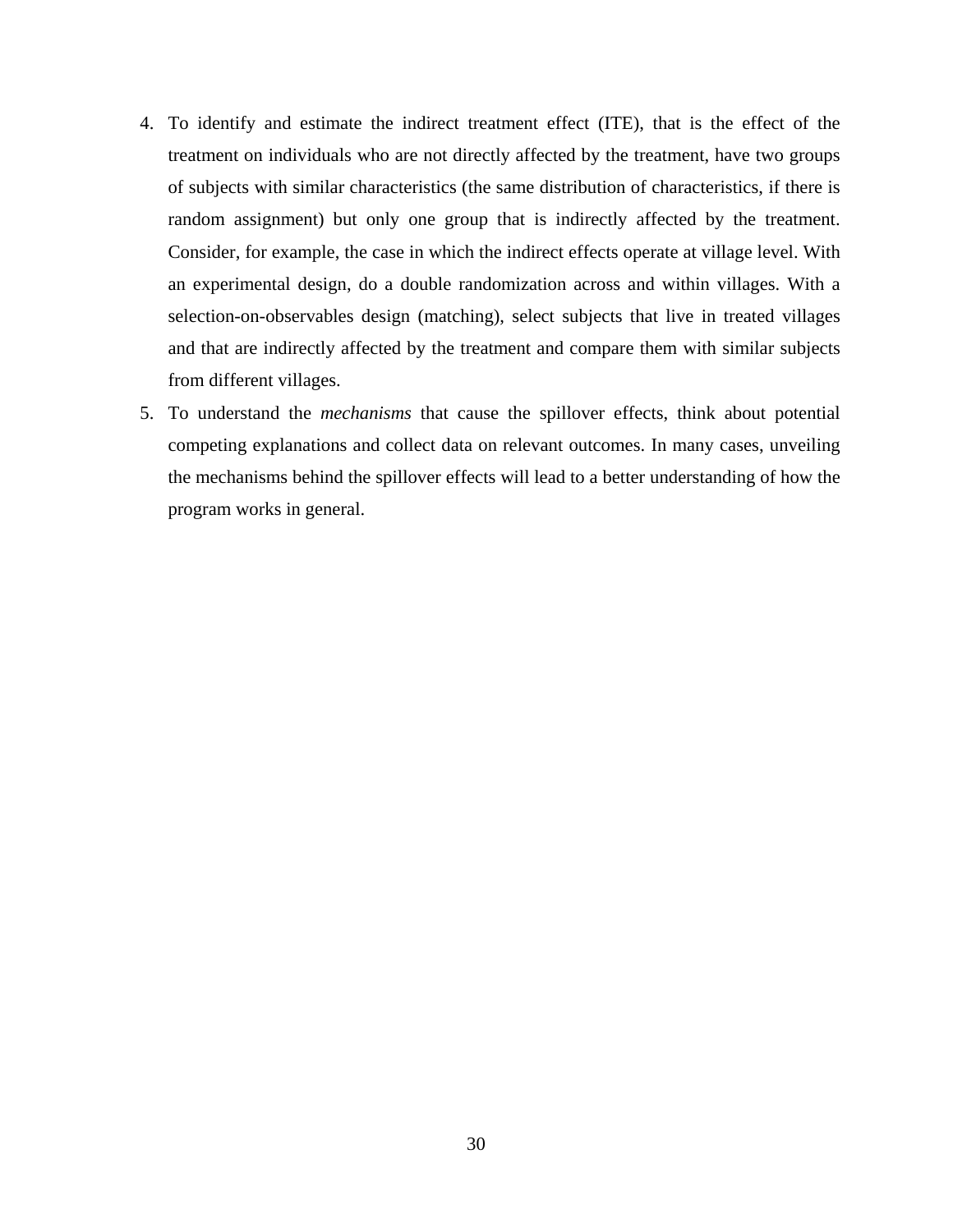- 4. To identify and estimate the indirect treatment effect (ITE), that is the effect of the treatment on individuals who are not directly affected by the treatment, have two groups of subjects with similar characteristics (the same distribution of characteristics, if there is random assignment) but only one group that is indirectly affected by the treatment. Consider, for example, the case in which the indirect effects operate at village level. With an experimental design, do a double randomization across and within villages. With a selection-on-observables design (matching), select subjects that live in treated villages and that are indirectly affected by the treatment and compare them with similar subjects from different villages.
- 5. To understand the *mechanisms* that cause the spillover effects, think about potential competing explanations and collect data on relevant outcomes. In many cases, unveiling the mechanisms behind the spillover effects will lead to a better understanding of how the program works in general.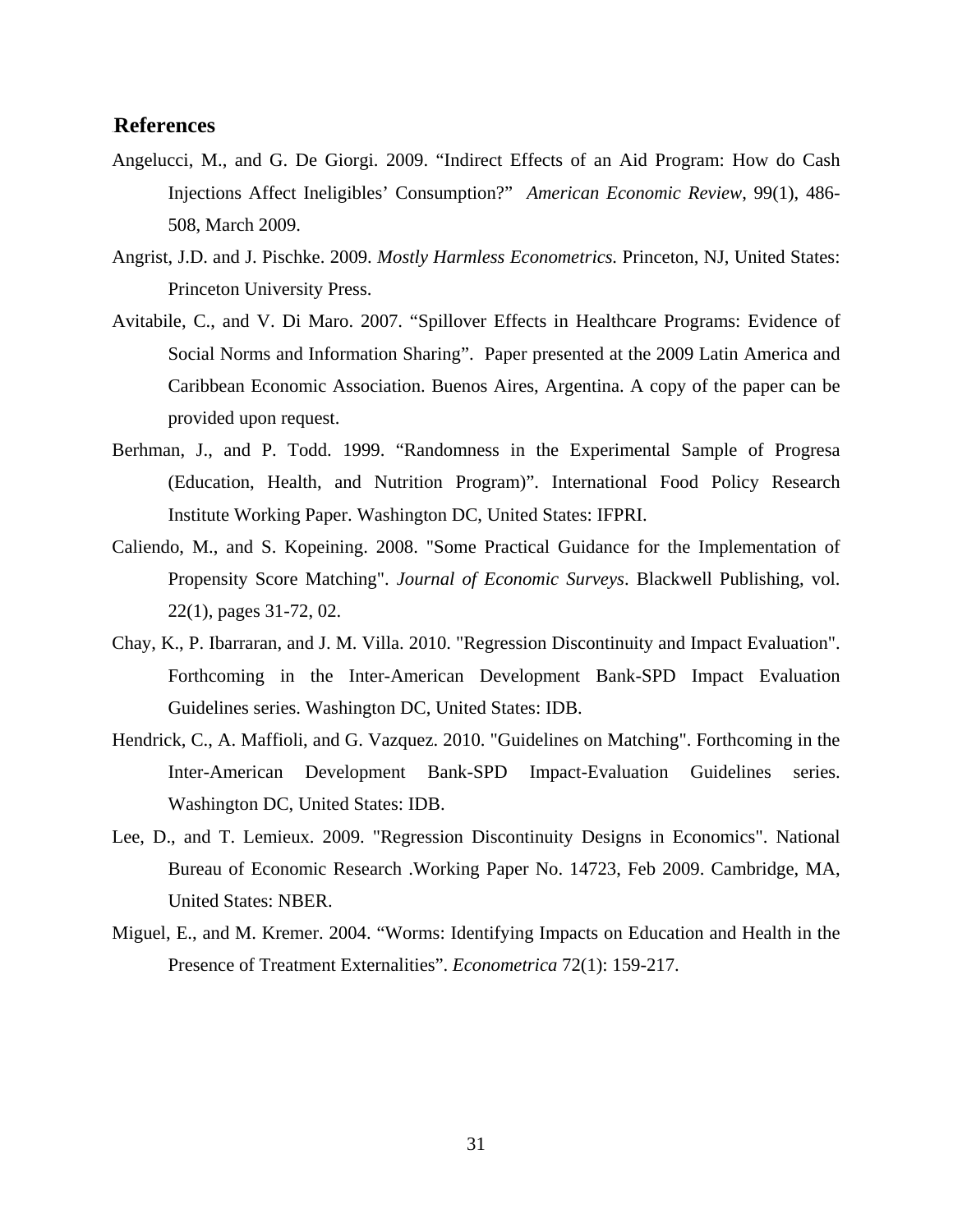#### 8B**References**

- Angelucci, M., and G. De Giorgi. 2009. "Indirect Effects of an Aid Program: How do Cash Injections Affect Ineligibles' Consumption?" *American Economic Review*, 99(1), 486- 508, March 2009.
- Angrist, J.D. and J. Pischke. 2009. *Mostly Harmless Econometrics.* Princeton, NJ, United States: Princeton University Press.
- Avitabile, C., and V. Di Maro. 2007. "Spillover Effects in Healthcare Programs: Evidence of Social Norms and Information Sharing". Paper presented at the 2009 Latin America and Caribbean Economic Association. Buenos Aires, Argentina. A copy of the paper can be provided upon request.
- Berhman, J., and P. Todd. 1999. "Randomness in the Experimental Sample of Progresa (Education, Health, and Nutrition Program)". International Food Policy Research Institute Working Paper. Washington DC, United States: IFPRI.
- Caliendo, M., and S. Kopeining. 2008. "Some Practical Guidance for the Implementation of Propensity Score Matching". *Journal of Economic Surveys*. Blackwell Publishing, vol. 22(1), pages 31-72, 02.
- Chay, K., P. Ibarraran, and J. M. Villa. 2010. "Regression Discontinuity and Impact Evaluation". Forthcoming in the Inter-American Development Bank-SPD Impact Evaluation Guidelines series. Washington DC, United States: IDB.
- Hendrick, C., A. Maffioli, and G. Vazquez. 2010. "Guidelines on Matching". Forthcoming in the Inter-American Development Bank-SPD Impact-Evaluation Guidelines series. Washington DC, United States: IDB.
- Lee, D., and T. Lemieux. 2009. "Regression Discontinuity Designs in Economics". National Bureau of Economic Research .Working Paper No. 14723, Feb 2009. Cambridge, MA, United States: NBER.
- Miguel, E., and M. Kremer. 2004. "Worms: Identifying Impacts on Education and Health in the Presence of Treatment Externalities". *Econometrica* 72(1): 159-217.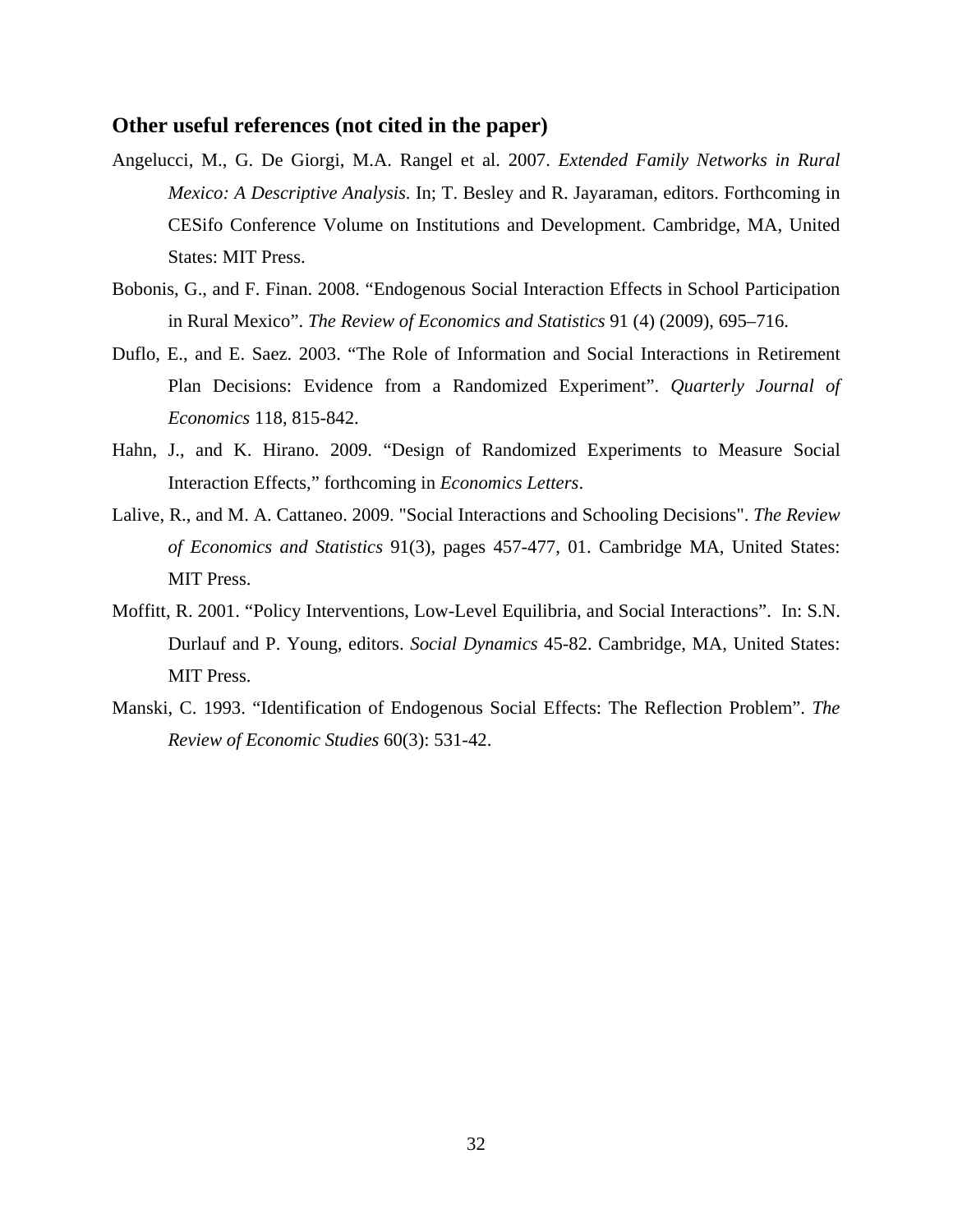#### **Other useful references (not cited in the paper)**

- Angelucci, M., G. De Giorgi, M.A. Rangel et al. 2007. *Extended Family Networks in Rural Mexico: A Descriptive Analysis*. In; T. Besley and R. Jayaraman, editors. Forthcoming in CESifo Conference Volume on Institutions and Development. Cambridge, MA, United States: MIT Press.
- Bobonis, G., and F. Finan. 2008. "Endogenous Social Interaction Effects in School Participation in Rural Mexico". *The Review of Economics and Statistics* 91 (4) (2009), 695–716.
- Duflo, E., and E. Saez. 2003. "The Role of Information and Social Interactions in Retirement Plan Decisions: Evidence from a Randomized Experiment". *Quarterly Journal of Economics* 118, 815-842.
- Hahn, J., and K. Hirano. 2009. "Design of Randomized Experiments to Measure Social Interaction Effects," forthcoming in *Economics Letters*.
- Lalive, R., and M. A. Cattaneo. 2009. "Social Interactions and Schooling Decisions". *The Review of Economics and Statistics* 91(3), pages 457-477, 01. Cambridge MA, United States: MIT Press.
- Moffitt, R. 2001. "Policy Interventions, Low-Level Equilibria, and Social Interactions". In: S.N. Durlauf and P. Young, editors. *Social Dynamics* 45-82. Cambridge, MA, United States: MIT Press.
- Manski, C. 1993. "Identification of Endogenous Social Effects: The Reflection Problem". *The Review of Economic Studies* 60(3): 531-42.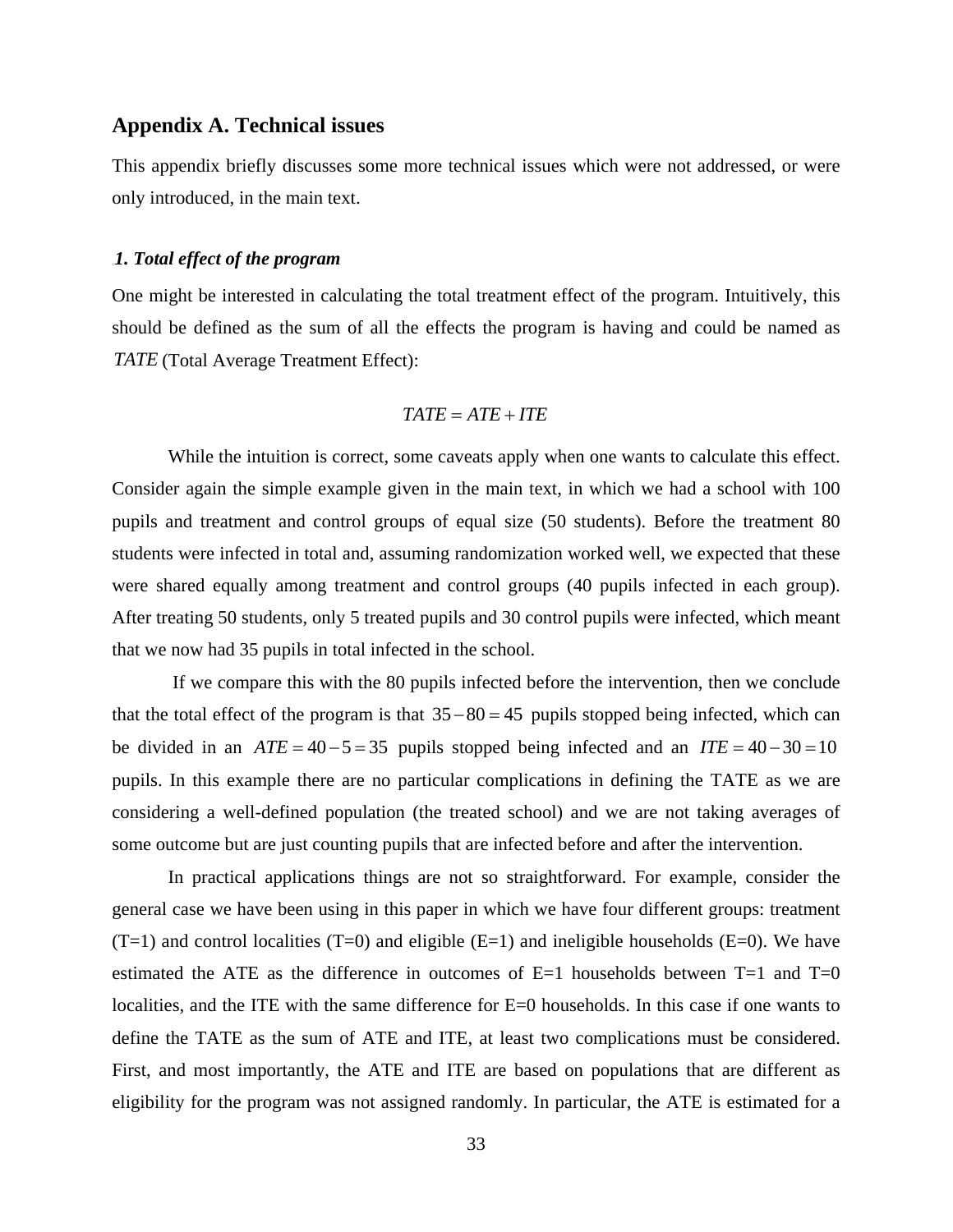#### **Appendix A. Technical issues**

This appendix briefly discusses some more technical issues which were not addressed, or were only introduced, in the main text.

#### 14B*1. Total effect of the program*

One might be interested in calculating the total treatment effect of the program. Intuitively, this should be defined as the sum of all the effects the program is having and could be named as *TATE* (Total Average Treatment Effect):

#### $TATE = ATE + ITE$

While the intuition is correct, some caveats apply when one wants to calculate this effect. Consider again the simple example given in the main text, in which we had a school with 100 pupils and treatment and control groups of equal size (50 students). Before the treatment 80 students were infected in total and, assuming randomization worked well, we expected that these were shared equally among treatment and control groups (40 pupils infected in each group). After treating 50 students, only 5 treated pupils and 30 control pupils were infected, which meant that we now had 35 pupils in total infected in the school.

 If we compare this with the 80 pupils infected before the intervention, then we conclude that the total effect of the program is that  $35-80=45$  pupils stopped being infected, which can be divided in an  $ATE = 40 - 5 = 35$  pupils stopped being infected and an  $ITE = 40 - 30 = 10$ pupils. In this example there are no particular complications in defining the TATE as we are considering a well-defined population (the treated school) and we are not taking averages of some outcome but are just counting pupils that are infected before and after the intervention.

In practical applications things are not so straightforward. For example, consider the general case we have been using in this paper in which we have four different groups: treatment  $(T=1)$  and control localities  $(T=0)$  and eligible  $(E=1)$  and ineligible households  $(E=0)$ . We have estimated the ATE as the difference in outcomes of  $E=1$  households between T=1 and T=0 localities, and the ITE with the same difference for E=0 households. In this case if one wants to define the TATE as the sum of ATE and ITE, at least two complications must be considered. First, and most importantly, the ATE and ITE are based on populations that are different as eligibility for the program was not assigned randomly. In particular, the ATE is estimated for a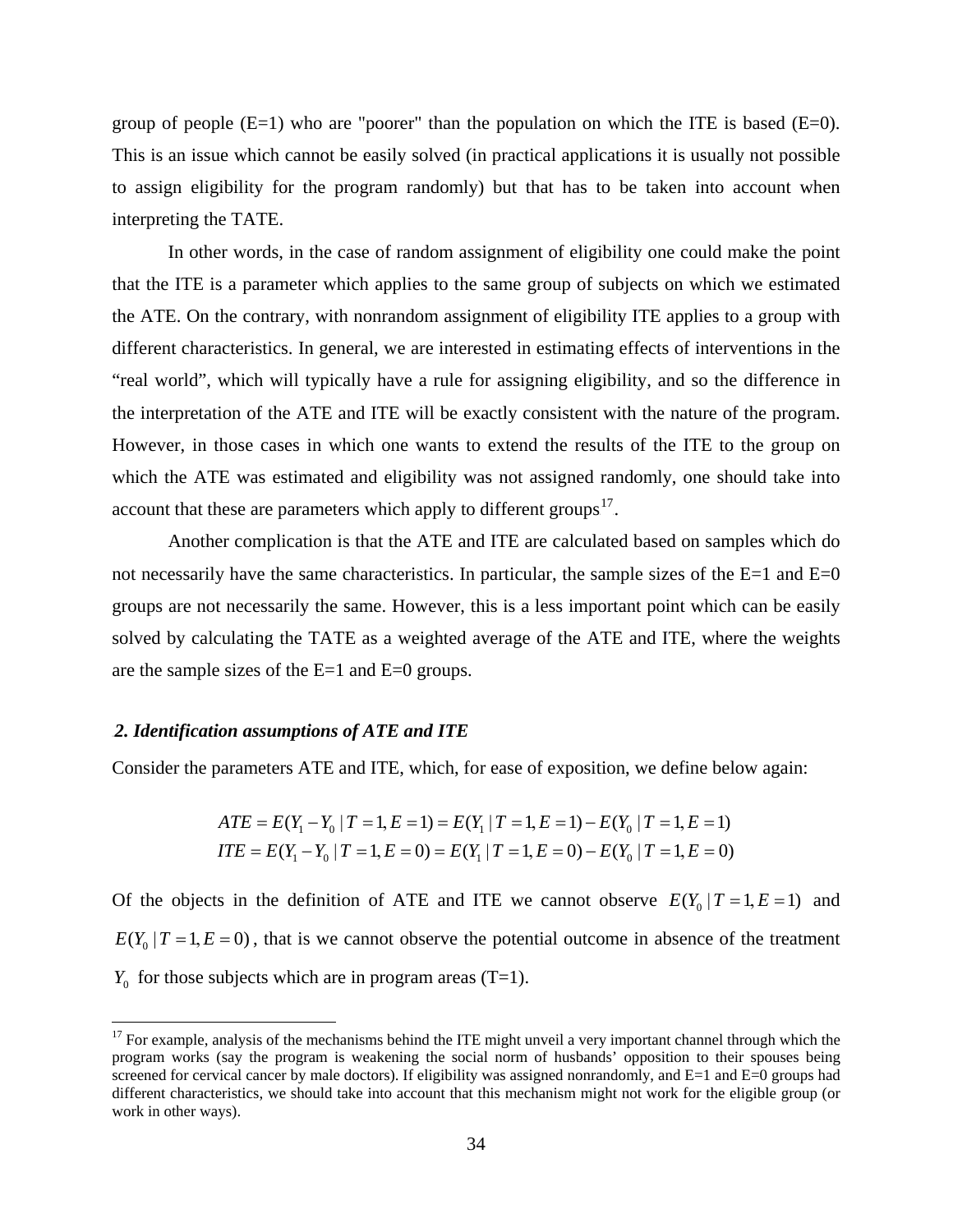group of people  $(E=1)$  who are "poorer" than the population on which the ITE is based  $(E=0)$ . This is an issue which cannot be easily solved (in practical applications it is usually not possible to assign eligibility for the program randomly) but that has to be taken into account when interpreting the TATE.

In other words, in the case of random assignment of eligibility one could make the point that the ITE is a parameter which applies to the same group of subjects on which we estimated the ATE. On the contrary, with nonrandom assignment of eligibility ITE applies to a group with different characteristics. In general, we are interested in estimating effects of interventions in the "real world", which will typically have a rule for assigning eligibility, and so the difference in the interpretation of the ATE and ITE will be exactly consistent with the nature of the program. However, in those cases in which one wants to extend the results of the ITE to the group on which the ATE was estimated and eligibility was not assigned randomly, one should take into account that these are parameters which apply to different groups.<sup>17</sup>.

Another complication is that the ATE and ITE are calculated based on samples which do not necessarily have the same characteristics. In particular, the sample sizes of the  $E=1$  and  $E=0$ groups are not necessarily the same. However, this is a less important point which can be easily solved by calculating the TATE as a weighted average of the ATE and ITE, where the weights are the sample sizes of the E=1 and E=0 groups.

#### 2. Identification assumptions of ATE and ITE

 $\overline{a}$ 

Consider the parameters ATE and ITE, which, for ease of exposition, we define below again:

$$
ATE = E(Y_1 - Y_0 | T = 1, E = 1) = E(Y_1 | T = 1, E = 1) - E(Y_0 | T = 1, E = 1)
$$
  
ITE = E(Y\_1 - Y\_0 | T = 1, E = 0) = E(Y\_1 | T = 1, E = 0) - E(Y\_0 | T = 1, E = 0)

Of the objects in the definition of ATE and ITE we cannot observe  $E(Y_0 | T = 1, E = 1)$  and  $E(Y_0 | T = 1, E = 0)$ , that is we cannot observe the potential outcome in absence of the treatment  $Y_0$  for those subjects which are in program areas (T=1).

 $17$  For example, analysis of the mechanisms behind the ITE might unveil a very important channel through which the program works (say the program is weakening the social norm of husbands' opposition to their spouses being screened for cervical cancer by male doctors). If eligibility was assigned nonrandomly, and E=1 and E=0 groups had different characteristics, we should take into account that this mechanism might not work for the eligible group (or work in other ways).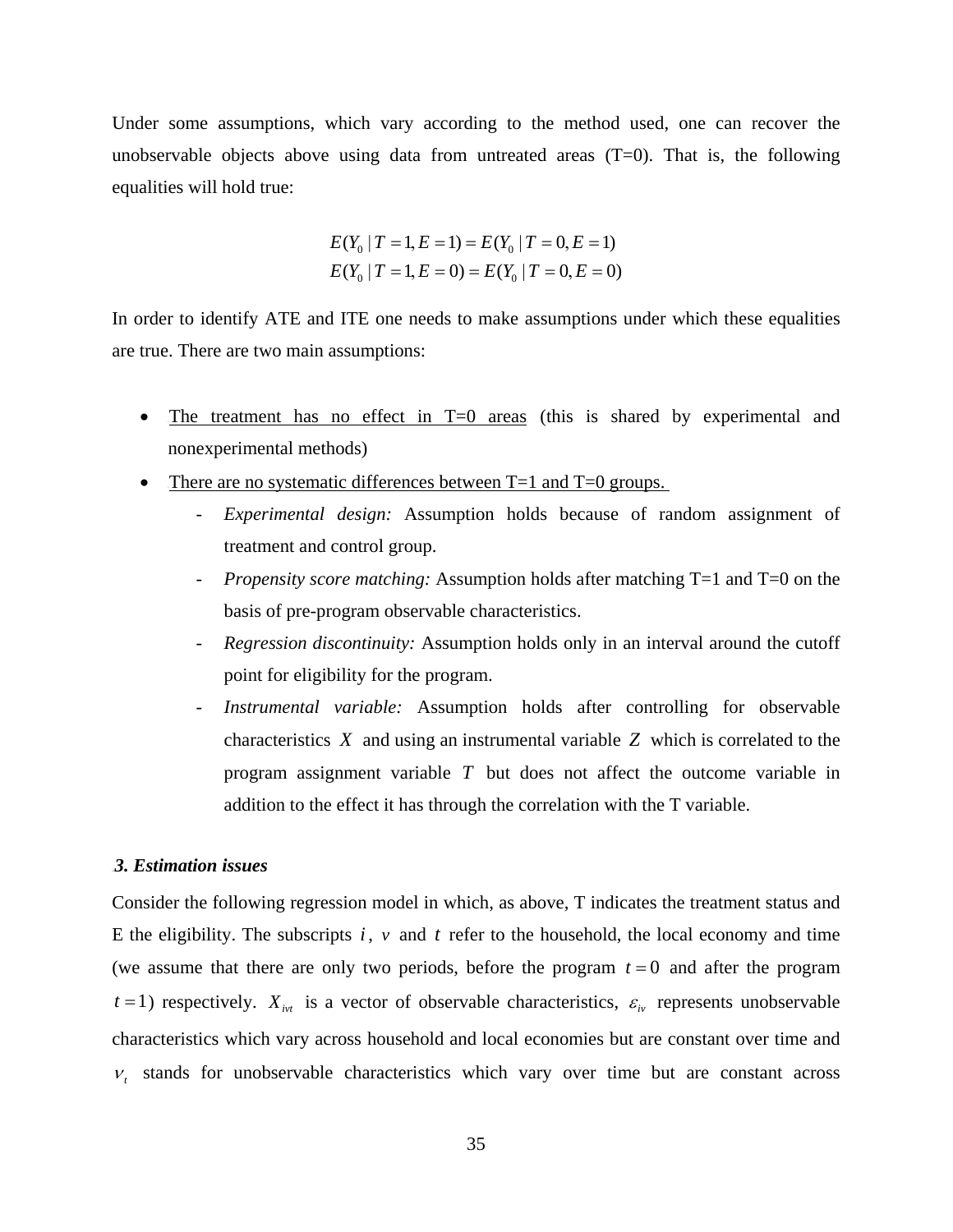Under some assumptions, which vary according to the method used, one can recover the unobservable objects above using data from untreated areas  $(T=0)$ . That is, the following equalities will hold true:

$$
E(Y_0 | T = 1, E = 1) = E(Y_0 | T = 0, E = 1)
$$
  

$$
E(Y_0 | T = 1, E = 0) = E(Y_0 | T = 0, E = 0)
$$

In order to identify ATE and ITE one needs to make assumptions under which these equalities are true. There are two main assumptions:

- The treatment has no effect in  $T=0$  areas (this is shared by experimental and nonexperimental methods)
- There are no systematic differences between  $T=1$  and  $T=0$  groups.
	- *Experimental design:* Assumption holds because of random assignment of treatment and control group.
	- *Propensity score matching:* Assumption holds after matching T=1 and T=0 on the basis of pre-program observable characteristics.
	- *Regression discontinuity:* Assumption holds only in an interval around the cutoff point for eligibility for the program.
	- *Instrumental variable:* Assumption holds after controlling for observable characteristics *X* and using an instrumental variable *Z* which is correlated to the program assignment variable *T* but does not affect the outcome variable in addition to the effect it has through the correlation with the T variable.

#### 16B*3. Estimation issues*

Consider the following regression model in which, as above, T indicates the treatment status and E the eligibility. The subscripts  $i$ ,  $v$  and  $t$  refer to the household, the local economy and time (we assume that there are only two periods, before the program  $t = 0$  and after the program  $t = 1$ ) respectively.  $X_{ivt}$  is a vector of observable characteristics,  $\varepsilon_{i\nu}$  represents unobservable characteristics which vary across household and local economies but are constant over time and  $v_t$  stands for unobservable characteristics which vary over time but are constant across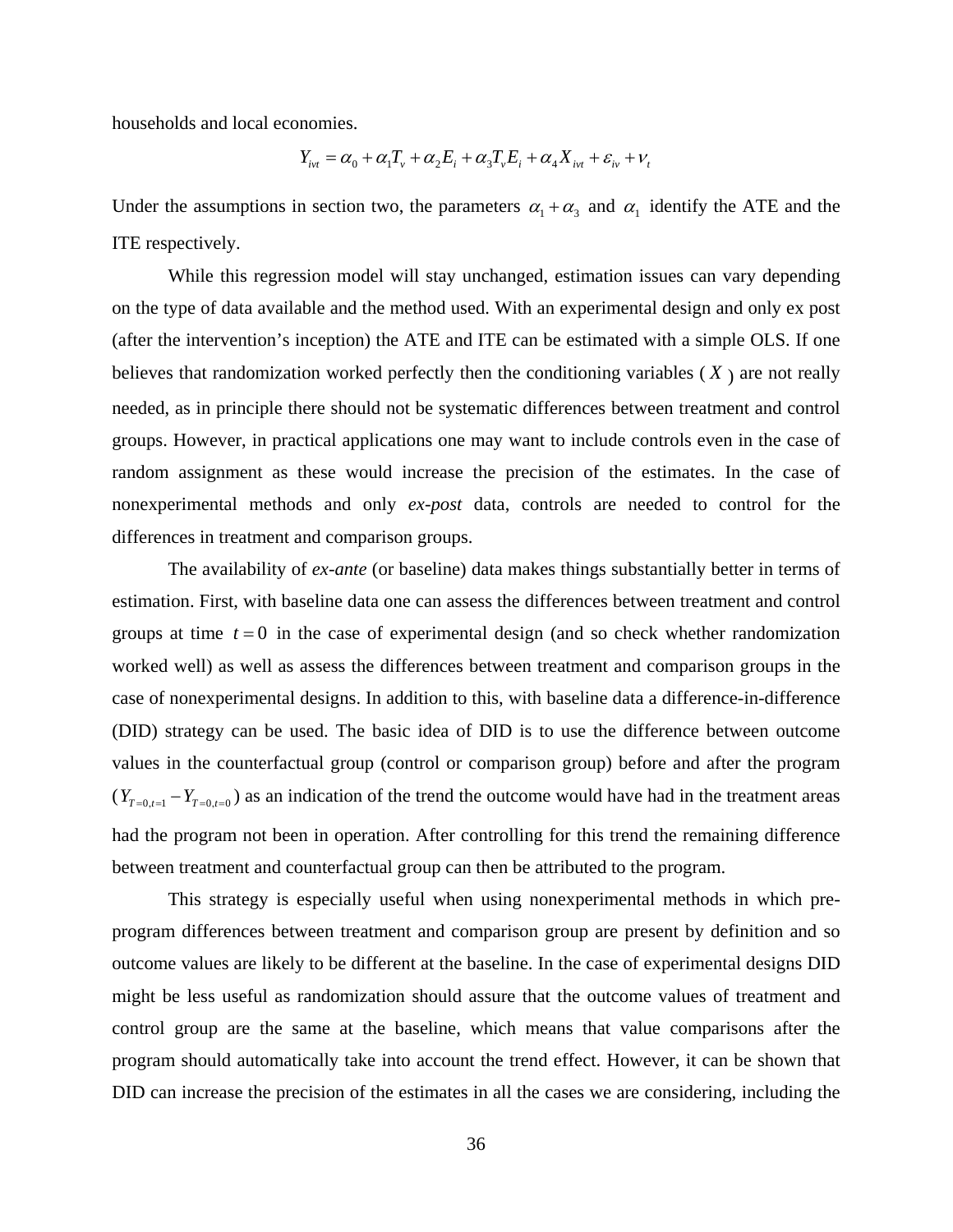households and local economies.

$$
Y_{ivt} = \alpha_0 + \alpha_1 T_v + \alpha_2 E_i + \alpha_3 T_v E_i + \alpha_4 X_{ivt} + \varepsilon_{iv} + V_t
$$

Under the assumptions in section two, the parameters  $\alpha_1 + \alpha_3$  and  $\alpha_1$  identify the ATE and the ITE respectively.

While this regression model will stay unchanged, estimation issues can vary depending on the type of data available and the method used. With an experimental design and only ex post (after the intervention's inception) the ATE and ITE can be estimated with a simple OLS. If one believes that randomization worked perfectly then the conditioning variables  $(X)$  are not really needed, as in principle there should not be systematic differences between treatment and control groups. However, in practical applications one may want to include controls even in the case of random assignment as these would increase the precision of the estimates. In the case of nonexperimental methods and only *ex-post* data, controls are needed to control for the differences in treatment and comparison groups.

The availability of *ex-ante* (or baseline) data makes things substantially better in terms of estimation. First, with baseline data one can assess the differences between treatment and control groups at time  $t = 0$  in the case of experimental design (and so check whether randomization worked well) as well as assess the differences between treatment and comparison groups in the case of nonexperimental designs. In addition to this, with baseline data a difference-in-difference (DID) strategy can be used. The basic idea of DID is to use the difference between outcome values in the counterfactual group (control or comparison group) before and after the program  $(Y_{T=0,t=1} - Y_{T=0,t=0})$  as an indication of the trend the outcome would have had in the treatment areas had the program not been in operation. After controlling for this trend the remaining difference between treatment and counterfactual group can then be attributed to the program.

This strategy is especially useful when using nonexperimental methods in which preprogram differences between treatment and comparison group are present by definition and so outcome values are likely to be different at the baseline. In the case of experimental designs DID might be less useful as randomization should assure that the outcome values of treatment and control group are the same at the baseline, which means that value comparisons after the program should automatically take into account the trend effect. However, it can be shown that DID can increase the precision of the estimates in all the cases we are considering, including the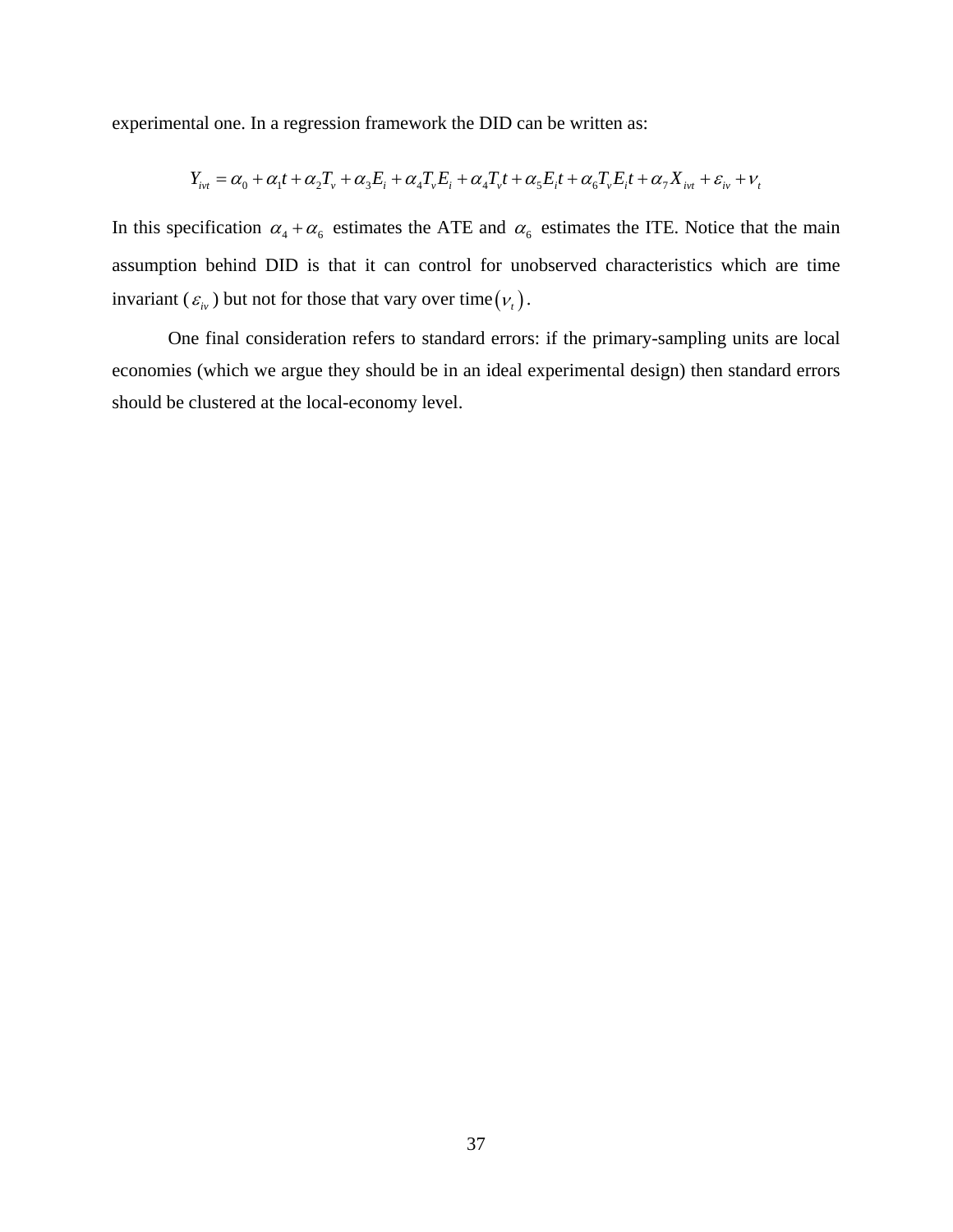experimental one. In a regression framework the DID can be written as:

$$
Y_{ivt} = \alpha_0 + \alpha_1 t + \alpha_2 T_v + \alpha_3 E_i + \alpha_4 T_v E_i + \alpha_4 T_v t + \alpha_5 E_i t + \alpha_6 T_v E_i t + \alpha_7 X_{ivt} + \varepsilon_{iv} + V_t
$$

In this specification  $\alpha_4 + \alpha_6$  estimates the ATE and  $\alpha_6$  estimates the ITE. Notice that the main assumption behind DID is that it can control for unobserved characteristics which are time invariant ( $\varepsilon_{i\nu}$ ) but not for those that vary over time  $(v_{i})$ .

One final consideration refers to standard errors: if the primary-sampling units are local economies (which we argue they should be in an ideal experimental design) then standard errors should be clustered at the local-economy level.